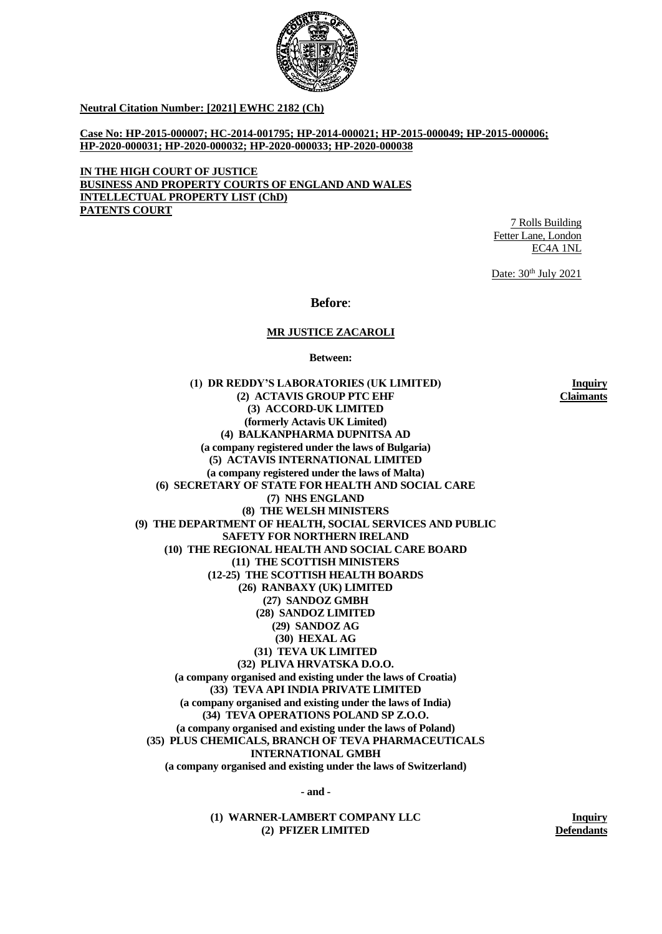

**Neutral Citation Number: [2021] EWHC 2182 (Ch)**

**Case No: HP-2015-000007; HC-2014-001795; HP-2014-000021; HP-2015-000049; HP-2015-000006; HP-2020-000031; HP-2020-000032; HP-2020-000033; HP-2020-000038**

**IN THE HIGH COURT OF JUSTICE BUSINESS AND PROPERTY COURTS OF ENGLAND AND WALES INTELLECTUAL PROPERTY LIST (ChD) PATENTS COURT**

7 Rolls Building Fetter Lane, London EC4A 1NL

Date:  $30<sup>th</sup>$  July 2021

**Before**:

#### **MR JUSTICE ZACAROLI**

**Between:**

**(1) DR REDDY'S LABORATORIES (UK LIMITED) (2) ACTAVIS GROUP PTC EHF (3) ACCORD-UK LIMITED (formerly Actavis UK Limited) (4) BALKANPHARMA DUPNITSA AD (a company registered under the laws of Bulgaria) (5) ACTAVIS INTERNATIONAL LIMITED (a company registered under the laws of Malta) (6) SECRETARY OF STATE FOR HEALTH AND SOCIAL CARE (7) NHS ENGLAND (8) THE WELSH MINISTERS (9) THE DEPARTMENT OF HEALTH, SOCIAL SERVICES AND PUBLIC SAFETY FOR NORTHERN IRELAND (10) THE REGIONAL HEALTH AND SOCIAL CARE BOARD (11) THE SCOTTISH MINISTERS (12-25) THE SCOTTISH HEALTH BOARDS (26) RANBAXY (UK) LIMITED (27) SANDOZ GMBH (28) SANDOZ LIMITED (29) SANDOZ AG (30) HEXAL AG (31) TEVA UK LIMITED (32) PLIVA HRVATSKA D.O.O. (a company organised and existing under the laws of Croatia) (33) TEVA API INDIA PRIVATE LIMITED (a company organised and existing under the laws of India) (34) TEVA OPERATIONS POLAND SP Z.O.O. (a company organised and existing under the laws of Poland) (35) PLUS CHEMICALS, BRANCH OF TEVA PHARMACEUTICALS INTERNATIONAL GMBH (a company organised and existing under the laws of Switzerland)**

**Inquiry Claimants**

**- and -**

**(1) WARNER-LAMBERT COMPANY LLC (2) PFIZER LIMITED**

**Inquiry Defendants**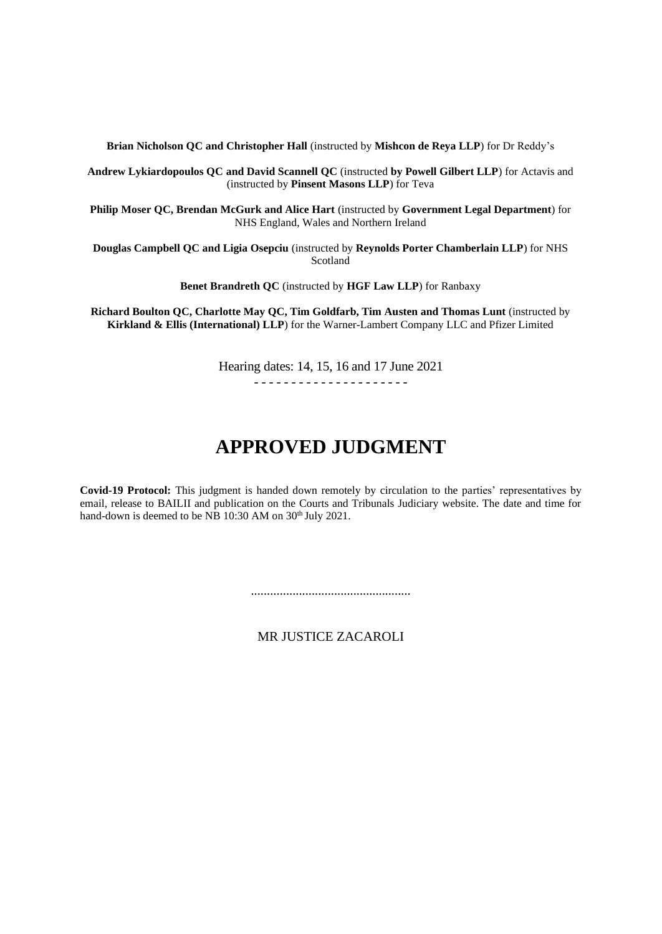**Brian Nicholson QC and Christopher Hall** (instructed by **Mishcon de Reya LLP**) for Dr Reddy's

**Andrew Lykiardopoulos QC and David Scannell QC** (instructed **by Powell Gilbert LLP**) for Actavis and (instructed by **Pinsent Masons LLP**) for Teva

**Philip Moser QC, Brendan McGurk and Alice Hart** (instructed by **Government Legal Department**) for NHS England, Wales and Northern Ireland

**Douglas Campbell QC and Ligia Osepciu** (instructed by **Reynolds Porter Chamberlain LLP**) for NHS Scotland

**Benet Brandreth QC** (instructed by **HGF Law LLP**) for Ranbaxy

**Richard Boulton QC, Charlotte May QC, Tim Goldfarb, Tim Austen and Thomas Lunt** (instructed by **Kirkland & Ellis (International) LLP**) for the Warner-Lambert Company LLC and Pfizer Limited

> Hearing dates: 14, 15, 16 and 17 June 2021 - - - - - - - - - - - - - - - - - - - - -

# **APPROVED JUDGMENT**

**Covid-19 Protocol:** This judgment is handed down remotely by circulation to the parties' representatives by email, release to BAILII and publication on the Courts and Tribunals Judiciary website. The date and time for hand-down is deemed to be NB 10:30 AM on 30<sup>th</sup> July 2021.

..................................................

MR JUSTICE ZACAROLI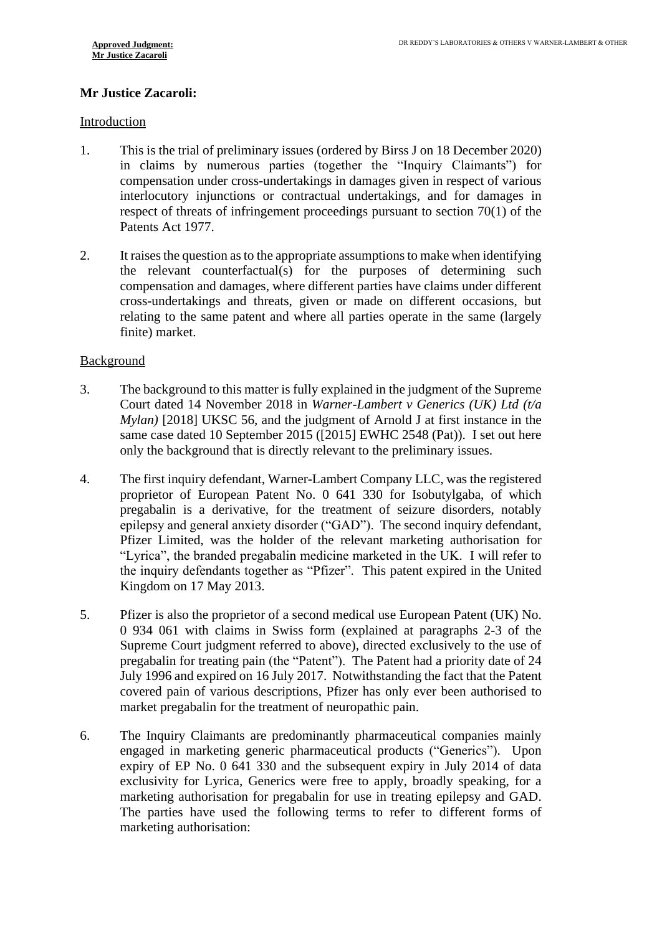# **Mr Justice Zacaroli:**

### Introduction

- 1. This is the trial of preliminary issues (ordered by Birss J on 18 December 2020) in claims by numerous parties (together the "Inquiry Claimants") for compensation under cross-undertakings in damages given in respect of various interlocutory injunctions or contractual undertakings, and for damages in respect of threats of infringement proceedings pursuant to section 70(1) of the Patents Act 1977.
- 2. It raises the question as to the appropriate assumptions to make when identifying the relevant counterfactual(s) for the purposes of determining such compensation and damages, where different parties have claims under different cross-undertakings and threats, given or made on different occasions, but relating to the same patent and where all parties operate in the same (largely finite) market.

# **Background**

- 3. The background to this matter is fully explained in the judgment of the Supreme Court dated 14 November 2018 in *Warner-Lambert v Generics (UK) Ltd (t/a Mylan)* [2018] UKSC 56, and the judgment of Arnold J at first instance in the same case dated 10 September 2015 ([2015] EWHC 2548 (Pat)). I set out here only the background that is directly relevant to the preliminary issues.
- 4. The first inquiry defendant, Warner-Lambert Company LLC, was the registered proprietor of European Patent No. 0 641 330 for Isobutylgaba, of which pregabalin is a derivative, for the treatment of seizure disorders, notably epilepsy and general anxiety disorder ("GAD"). The second inquiry defendant, Pfizer Limited, was the holder of the relevant marketing authorisation for "Lyrica", the branded pregabalin medicine marketed in the UK. I will refer to the inquiry defendants together as "Pfizer". This patent expired in the United Kingdom on 17 May 2013.
- 5. Pfizer is also the proprietor of a second medical use European Patent (UK) No. 0 934 061 with claims in Swiss form (explained at paragraphs 2-3 of the Supreme Court judgment referred to above), directed exclusively to the use of pregabalin for treating pain (the "Patent"). The Patent had a priority date of 24 July 1996 and expired on 16 July 2017. Notwithstanding the fact that the Patent covered pain of various descriptions, Pfizer has only ever been authorised to market pregabalin for the treatment of neuropathic pain.
- 6. The Inquiry Claimants are predominantly pharmaceutical companies mainly engaged in marketing generic pharmaceutical products ("Generics"). Upon expiry of EP No. 0 641 330 and the subsequent expiry in July 2014 of data exclusivity for Lyrica, Generics were free to apply, broadly speaking, for a marketing authorisation for pregabalin for use in treating epilepsy and GAD. The parties have used the following terms to refer to different forms of marketing authorisation: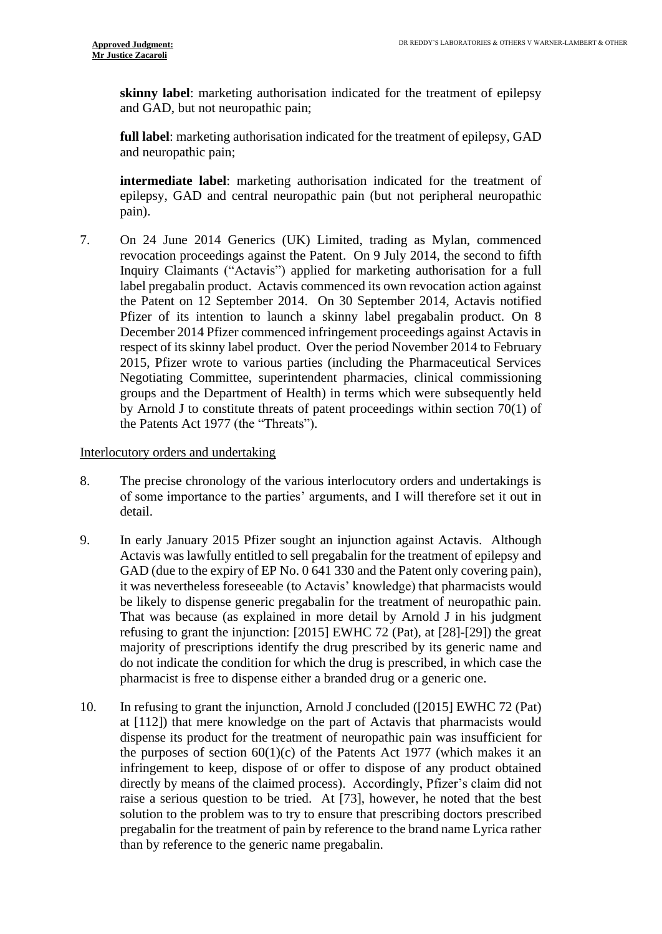**skinny label**: marketing authorisation indicated for the treatment of epilepsy and GAD, but not neuropathic pain;

**full label**: marketing authorisation indicated for the treatment of epilepsy, GAD and neuropathic pain;

**intermediate label**: marketing authorisation indicated for the treatment of epilepsy, GAD and central neuropathic pain (but not peripheral neuropathic pain).

7. On 24 June 2014 Generics (UK) Limited, trading as Mylan, commenced revocation proceedings against the Patent. On 9 July 2014, the second to fifth Inquiry Claimants ("Actavis") applied for marketing authorisation for a full label pregabalin product. Actavis commenced its own revocation action against the Patent on 12 September 2014. On 30 September 2014, Actavis notified Pfizer of its intention to launch a skinny label pregabalin product. On 8 December 2014 Pfizer commenced infringement proceedings against Actavis in respect of its skinny label product. Over the period November 2014 to February 2015, Pfizer wrote to various parties (including the Pharmaceutical Services Negotiating Committee, superintendent pharmacies, clinical commissioning groups and the Department of Health) in terms which were subsequently held by Arnold J to constitute threats of patent proceedings within section 70(1) of the Patents Act 1977 (the "Threats").

#### Interlocutory orders and undertaking

- 8. The precise chronology of the various interlocutory orders and undertakings is of some importance to the parties' arguments, and I will therefore set it out in detail.
- 9. In early January 2015 Pfizer sought an injunction against Actavis. Although Actavis was lawfully entitled to sell pregabalin for the treatment of epilepsy and GAD (due to the expiry of EP No. 0 641 330 and the Patent only covering pain), it was nevertheless foreseeable (to Actavis' knowledge) that pharmacists would be likely to dispense generic pregabalin for the treatment of neuropathic pain. That was because (as explained in more detail by Arnold J in his judgment refusing to grant the injunction: [2015] EWHC 72 (Pat), at [28]-[29]) the great majority of prescriptions identify the drug prescribed by its generic name and do not indicate the condition for which the drug is prescribed, in which case the pharmacist is free to dispense either a branded drug or a generic one.
- 10. In refusing to grant the injunction, Arnold J concluded ([2015] EWHC 72 (Pat) at [112]) that mere knowledge on the part of Actavis that pharmacists would dispense its product for the treatment of neuropathic pain was insufficient for the purposes of section  $60(1)(c)$  of the Patents Act 1977 (which makes it an infringement to keep, dispose of or offer to dispose of any product obtained directly by means of the claimed process). Accordingly, Pfizer's claim did not raise a serious question to be tried. At [73], however, he noted that the best solution to the problem was to try to ensure that prescribing doctors prescribed pregabalin for the treatment of pain by reference to the brand name Lyrica rather than by reference to the generic name pregabalin.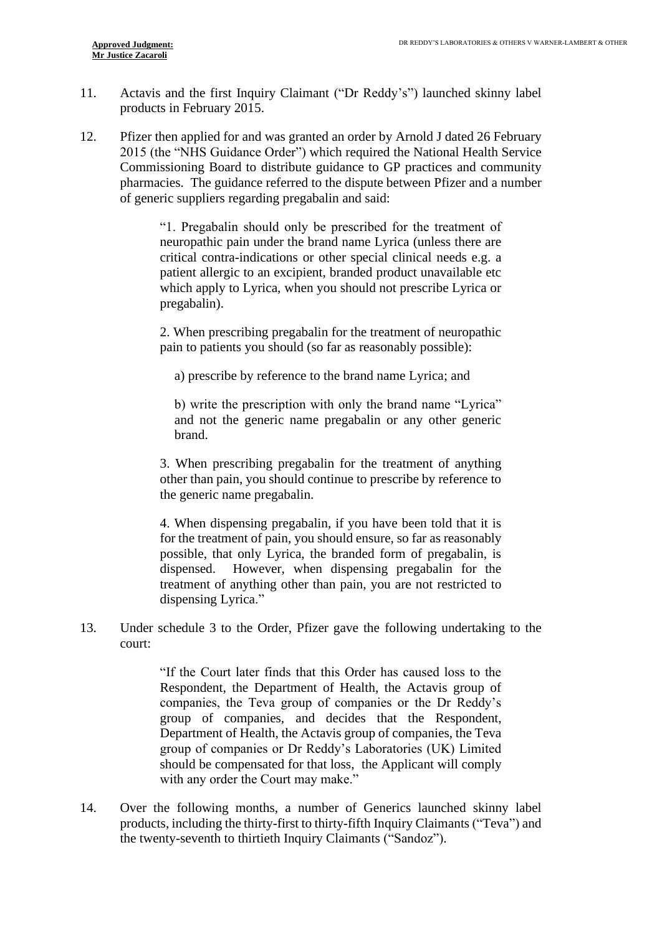- 11. Actavis and the first Inquiry Claimant ("Dr Reddy's") launched skinny label products in February 2015.
- 12. Pfizer then applied for and was granted an order by Arnold J dated 26 February 2015 (the "NHS Guidance Order") which required the National Health Service Commissioning Board to distribute guidance to GP practices and community pharmacies. The guidance referred to the dispute between Pfizer and a number of generic suppliers regarding pregabalin and said:

"1. Pregabalin should only be prescribed for the treatment of neuropathic pain under the brand name Lyrica (unless there are critical contra-indications or other special clinical needs e.g. a patient allergic to an excipient, branded product unavailable etc which apply to Lyrica, when you should not prescribe Lyrica or pregabalin).

2. When prescribing pregabalin for the treatment of neuropathic pain to patients you should (so far as reasonably possible):

a) prescribe by reference to the brand name Lyrica; and

b) write the prescription with only the brand name "Lyrica" and not the generic name pregabalin or any other generic brand.

3. When prescribing pregabalin for the treatment of anything other than pain, you should continue to prescribe by reference to the generic name pregabalin.

4. When dispensing pregabalin, if you have been told that it is for the treatment of pain, you should ensure, so far as reasonably possible, that only Lyrica, the branded form of pregabalin, is dispensed. However, when dispensing pregabalin for the treatment of anything other than pain, you are not restricted to dispensing Lyrica."

13. Under schedule 3 to the Order, Pfizer gave the following undertaking to the court:

> "If the Court later finds that this Order has caused loss to the Respondent, the Department of Health, the Actavis group of companies, the Teva group of companies or the Dr Reddy's group of companies, and decides that the Respondent, Department of Health, the Actavis group of companies, the Teva group of companies or Dr Reddy's Laboratories (UK) Limited should be compensated for that loss, the Applicant will comply with any order the Court may make."

14. Over the following months, a number of Generics launched skinny label products, including the thirty-first to thirty-fifth Inquiry Claimants ("Teva") and the twenty-seventh to thirtieth Inquiry Claimants ("Sandoz").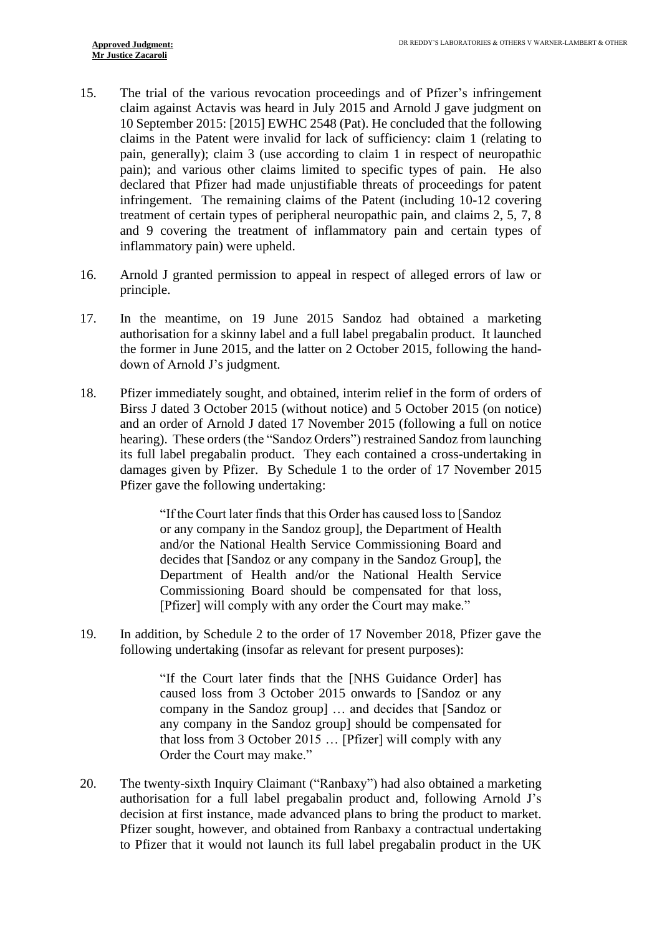- 15. The trial of the various revocation proceedings and of Pfizer's infringement claim against Actavis was heard in July 2015 and Arnold J gave judgment on 10 September 2015: [2015] EWHC 2548 (Pat). He concluded that the following claims in the Patent were invalid for lack of sufficiency: claim 1 (relating to pain, generally); claim 3 (use according to claim 1 in respect of neuropathic pain); and various other claims limited to specific types of pain. He also declared that Pfizer had made unjustifiable threats of proceedings for patent infringement. The remaining claims of the Patent (including 10-12 covering treatment of certain types of peripheral neuropathic pain, and claims 2, 5, 7, 8 and 9 covering the treatment of inflammatory pain and certain types of inflammatory pain) were upheld.
- 16. Arnold J granted permission to appeal in respect of alleged errors of law or principle.
- 17. In the meantime, on 19 June 2015 Sandoz had obtained a marketing authorisation for a skinny label and a full label pregabalin product. It launched the former in June 2015, and the latter on 2 October 2015, following the handdown of Arnold J's judgment.
- 18. Pfizer immediately sought, and obtained, interim relief in the form of orders of Birss J dated 3 October 2015 (without notice) and 5 October 2015 (on notice) and an order of Arnold J dated 17 November 2015 (following a full on notice hearing). These orders (the "Sandoz Orders") restrained Sandoz from launching its full label pregabalin product. They each contained a cross-undertaking in damages given by Pfizer. By Schedule 1 to the order of 17 November 2015 Pfizer gave the following undertaking:

"If the Court later finds that this Order has caused loss to [Sandoz or any company in the Sandoz group], the Department of Health and/or the National Health Service Commissioning Board and decides that [Sandoz or any company in the Sandoz Group], the Department of Health and/or the National Health Service Commissioning Board should be compensated for that loss, [Pfizer] will comply with any order the Court may make."

19. In addition, by Schedule 2 to the order of 17 November 2018, Pfizer gave the following undertaking (insofar as relevant for present purposes):

> "If the Court later finds that the [NHS Guidance Order] has caused loss from 3 October 2015 onwards to [Sandoz or any company in the Sandoz group] … and decides that [Sandoz or any company in the Sandoz group] should be compensated for that loss from 3 October 2015 … [Pfizer] will comply with any Order the Court may make."

20. The twenty-sixth Inquiry Claimant ("Ranbaxy") had also obtained a marketing authorisation for a full label pregabalin product and, following Arnold J's decision at first instance, made advanced plans to bring the product to market. Pfizer sought, however, and obtained from Ranbaxy a contractual undertaking to Pfizer that it would not launch its full label pregabalin product in the UK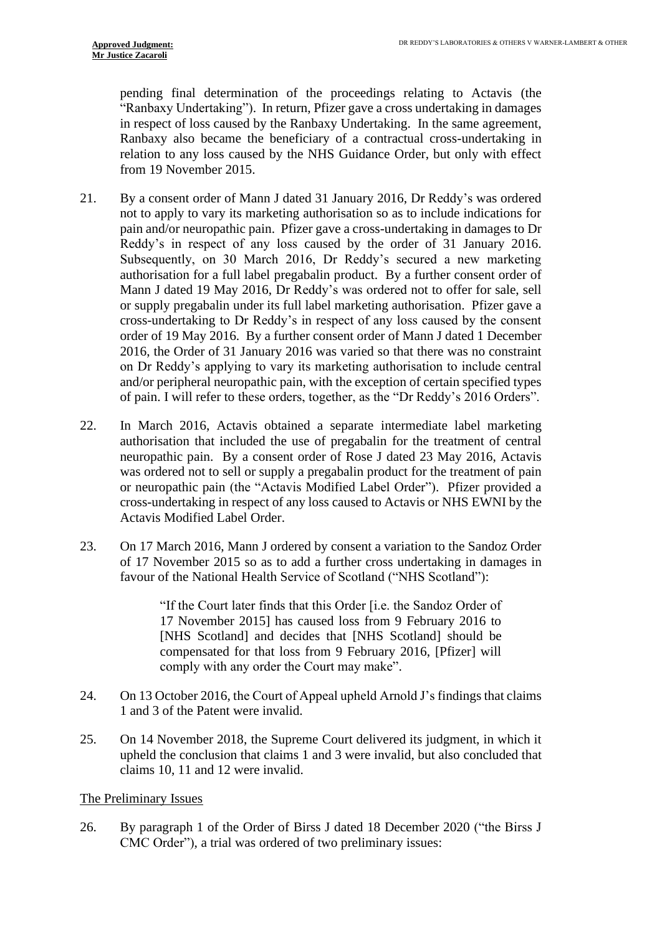pending final determination of the proceedings relating to Actavis (the "Ranbaxy Undertaking"). In return, Pfizer gave a cross undertaking in damages in respect of loss caused by the Ranbaxy Undertaking. In the same agreement, Ranbaxy also became the beneficiary of a contractual cross-undertaking in relation to any loss caused by the NHS Guidance Order, but only with effect from 19 November 2015.

- 21. By a consent order of Mann J dated 31 January 2016, Dr Reddy's was ordered not to apply to vary its marketing authorisation so as to include indications for pain and/or neuropathic pain. Pfizer gave a cross-undertaking in damages to Dr Reddy's in respect of any loss caused by the order of 31 January 2016. Subsequently, on 30 March 2016, Dr Reddy's secured a new marketing authorisation for a full label pregabalin product. By a further consent order of Mann J dated 19 May 2016, Dr Reddy's was ordered not to offer for sale, sell or supply pregabalin under its full label marketing authorisation. Pfizer gave a cross-undertaking to Dr Reddy's in respect of any loss caused by the consent order of 19 May 2016. By a further consent order of Mann J dated 1 December 2016, the Order of 31 January 2016 was varied so that there was no constraint on Dr Reddy's applying to vary its marketing authorisation to include central and/or peripheral neuropathic pain, with the exception of certain specified types of pain. I will refer to these orders, together, as the "Dr Reddy's 2016 Orders".
- 22. In March 2016, Actavis obtained a separate intermediate label marketing authorisation that included the use of pregabalin for the treatment of central neuropathic pain. By a consent order of Rose J dated 23 May 2016, Actavis was ordered not to sell or supply a pregabalin product for the treatment of pain or neuropathic pain (the "Actavis Modified Label Order"). Pfizer provided a cross-undertaking in respect of any loss caused to Actavis or NHS EWNI by the Actavis Modified Label Order.
- 23. On 17 March 2016, Mann J ordered by consent a variation to the Sandoz Order of 17 November 2015 so as to add a further cross undertaking in damages in favour of the National Health Service of Scotland ("NHS Scotland"):

"If the Court later finds that this Order [i.e. the Sandoz Order of 17 November 2015] has caused loss from 9 February 2016 to [NHS Scotland] and decides that [NHS Scotland] should be compensated for that loss from 9 February 2016, [Pfizer] will comply with any order the Court may make".

- 24. On 13 October 2016, the Court of Appeal upheld Arnold J's findings that claims 1 and 3 of the Patent were invalid.
- 25. On 14 November 2018, the Supreme Court delivered its judgment, in which it upheld the conclusion that claims 1 and 3 were invalid, but also concluded that claims 10, 11 and 12 were invalid.

#### The Preliminary Issues

26. By paragraph 1 of the Order of Birss J dated 18 December 2020 ("the Birss J CMC Order"), a trial was ordered of two preliminary issues: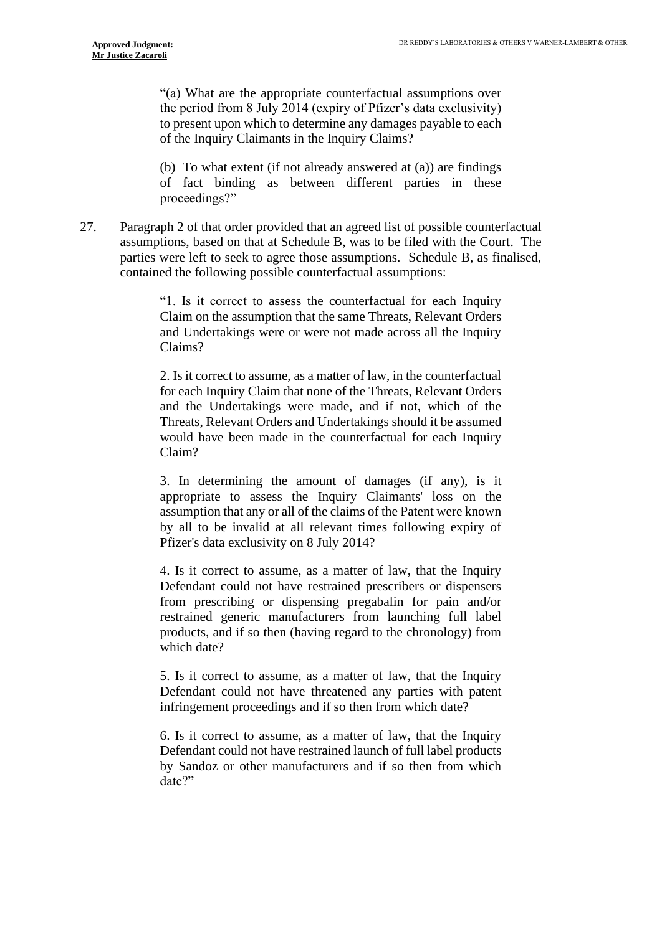"(a) What are the appropriate counterfactual assumptions over the period from 8 July 2014 (expiry of Pfizer's data exclusivity) to present upon which to determine any damages payable to each of the Inquiry Claimants in the Inquiry Claims?

(b) To what extent (if not already answered at (a)) are findings of fact binding as between different parties in these proceedings?"

27. Paragraph 2 of that order provided that an agreed list of possible counterfactual assumptions, based on that at Schedule B, was to be filed with the Court. The parties were left to seek to agree those assumptions. Schedule B, as finalised, contained the following possible counterfactual assumptions:

> "1. Is it correct to assess the counterfactual for each Inquiry Claim on the assumption that the same Threats, Relevant Orders and Undertakings were or were not made across all the Inquiry Claims?

> 2. Is it correct to assume, as a matter of law, in the counterfactual for each Inquiry Claim that none of the Threats, Relevant Orders and the Undertakings were made, and if not, which of the Threats, Relevant Orders and Undertakings should it be assumed would have been made in the counterfactual for each Inquiry Claim?

> 3. In determining the amount of damages (if any), is it appropriate to assess the Inquiry Claimants' loss on the assumption that any or all of the claims of the Patent were known by all to be invalid at all relevant times following expiry of Pfizer's data exclusivity on 8 July 2014?

> 4. Is it correct to assume, as a matter of law, that the Inquiry Defendant could not have restrained prescribers or dispensers from prescribing or dispensing pregabalin for pain and/or restrained generic manufacturers from launching full label products, and if so then (having regard to the chronology) from which date?

> 5. Is it correct to assume, as a matter of law, that the Inquiry Defendant could not have threatened any parties with patent infringement proceedings and if so then from which date?

> 6. Is it correct to assume, as a matter of law, that the Inquiry Defendant could not have restrained launch of full label products by Sandoz or other manufacturers and if so then from which date?"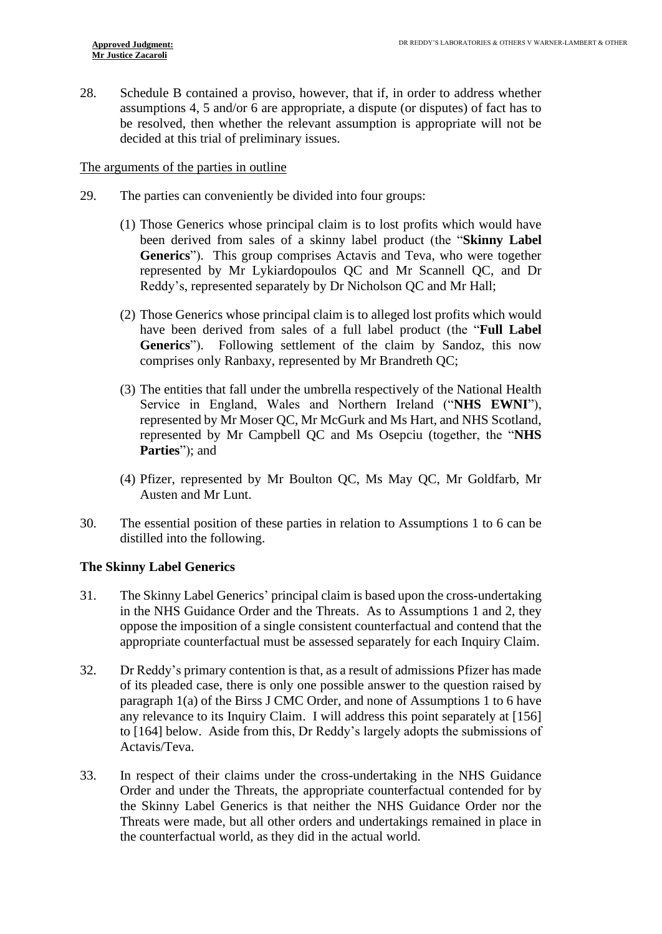28. Schedule B contained a proviso, however, that if, in order to address whether assumptions 4, 5 and/or 6 are appropriate, a dispute (or disputes) of fact has to be resolved, then whether the relevant assumption is appropriate will not be decided at this trial of preliminary issues.

# The arguments of the parties in outline

- 29. The parties can conveniently be divided into four groups:
	- (1) Those Generics whose principal claim is to lost profits which would have been derived from sales of a skinny label product (the "**Skinny Label Generics**"). This group comprises Actavis and Teva, who were together represented by Mr Lykiardopoulos QC and Mr Scannell QC, and Dr Reddy's, represented separately by Dr Nicholson QC and Mr Hall;
	- (2) Those Generics whose principal claim is to alleged lost profits which would have been derived from sales of a full label product (the "**Full Label Generics**"). Following settlement of the claim by Sandoz, this now comprises only Ranbaxy, represented by Mr Brandreth QC;
	- (3) The entities that fall under the umbrella respectively of the National Health Service in England, Wales and Northern Ireland ("**NHS EWNI**"), represented by Mr Moser QC, Mr McGurk and Ms Hart, and NHS Scotland, represented by Mr Campbell QC and Ms Osepciu (together, the "**NHS Parties**"); and
	- (4) Pfizer, represented by Mr Boulton QC, Ms May QC, Mr Goldfarb, Mr Austen and Mr Lunt.
- 30. The essential position of these parties in relation to Assumptions 1 to 6 can be distilled into the following.

# **The Skinny Label Generics**

- 31. The Skinny Label Generics' principal claim is based upon the cross-undertaking in the NHS Guidance Order and the Threats. As to Assumptions 1 and 2, they oppose the imposition of a single consistent counterfactual and contend that the appropriate counterfactual must be assessed separately for each Inquiry Claim.
- 32. Dr Reddy's primary contention is that, as a result of admissions Pfizer has made of its pleaded case, there is only one possible answer to the question raised by paragraph 1(a) of the Birss J CMC Order, and none of Assumptions 1 to 6 have any relevance to its Inquiry Claim. I will address this point separately at [\[156\]](#page-34-0) to [\[164\]](#page-35-0) below. Aside from this, Dr Reddy's largely adopts the submissions of Actavis/Teva.
- 33. In respect of their claims under the cross-undertaking in the NHS Guidance Order and under the Threats, the appropriate counterfactual contended for by the Skinny Label Generics is that neither the NHS Guidance Order nor the Threats were made, but all other orders and undertakings remained in place in the counterfactual world, as they did in the actual world.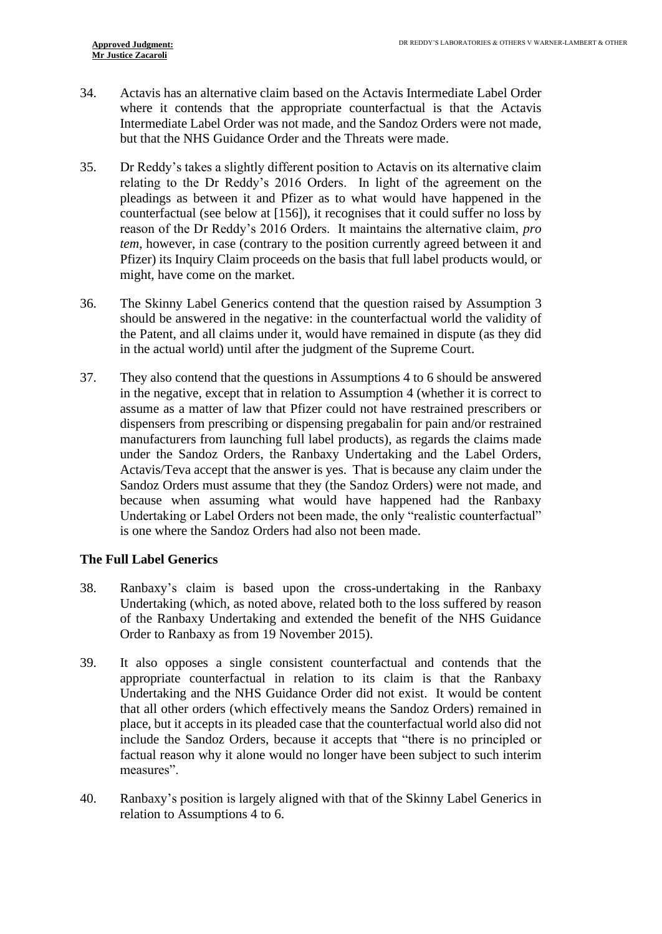- 34. Actavis has an alternative claim based on the Actavis Intermediate Label Order where it contends that the appropriate counterfactual is that the Actavis Intermediate Label Order was not made, and the Sandoz Orders were not made, but that the NHS Guidance Order and the Threats were made.
- 35. Dr Reddy's takes a slightly different position to Actavis on its alternative claim relating to the Dr Reddy's 2016 Orders. In light of the agreement on the pleadings as between it and Pfizer as to what would have happened in the counterfactual (see below at [\[156\]](#page-34-0)), it recognises that it could suffer no loss by reason of the Dr Reddy's 2016 Orders. It maintains the alternative claim, *pro tem*, however, in case (contrary to the position currently agreed between it and Pfizer) its Inquiry Claim proceeds on the basis that full label products would, or might, have come on the market.
- 36. The Skinny Label Generics contend that the question raised by Assumption 3 should be answered in the negative: in the counterfactual world the validity of the Patent, and all claims under it, would have remained in dispute (as they did in the actual world) until after the judgment of the Supreme Court.
- 37. They also contend that the questions in Assumptions 4 to 6 should be answered in the negative, except that in relation to Assumption 4 (whether it is correct to assume as a matter of law that Pfizer could not have restrained prescribers or dispensers from prescribing or dispensing pregabalin for pain and/or restrained manufacturers from launching full label products), as regards the claims made under the Sandoz Orders, the Ranbaxy Undertaking and the Label Orders, Actavis/Teva accept that the answer is yes. That is because any claim under the Sandoz Orders must assume that they (the Sandoz Orders) were not made, and because when assuming what would have happened had the Ranbaxy Undertaking or Label Orders not been made, the only "realistic counterfactual" is one where the Sandoz Orders had also not been made.

#### **The Full Label Generics**

- 38. Ranbaxy's claim is based upon the cross-undertaking in the Ranbaxy Undertaking (which, as noted above, related both to the loss suffered by reason of the Ranbaxy Undertaking and extended the benefit of the NHS Guidance Order to Ranbaxy as from 19 November 2015).
- 39. It also opposes a single consistent counterfactual and contends that the appropriate counterfactual in relation to its claim is that the Ranbaxy Undertaking and the NHS Guidance Order did not exist. It would be content that all other orders (which effectively means the Sandoz Orders) remained in place, but it accepts in its pleaded case that the counterfactual world also did not include the Sandoz Orders, because it accepts that "there is no principled or factual reason why it alone would no longer have been subject to such interim measures".
- 40. Ranbaxy's position is largely aligned with that of the Skinny Label Generics in relation to Assumptions 4 to 6.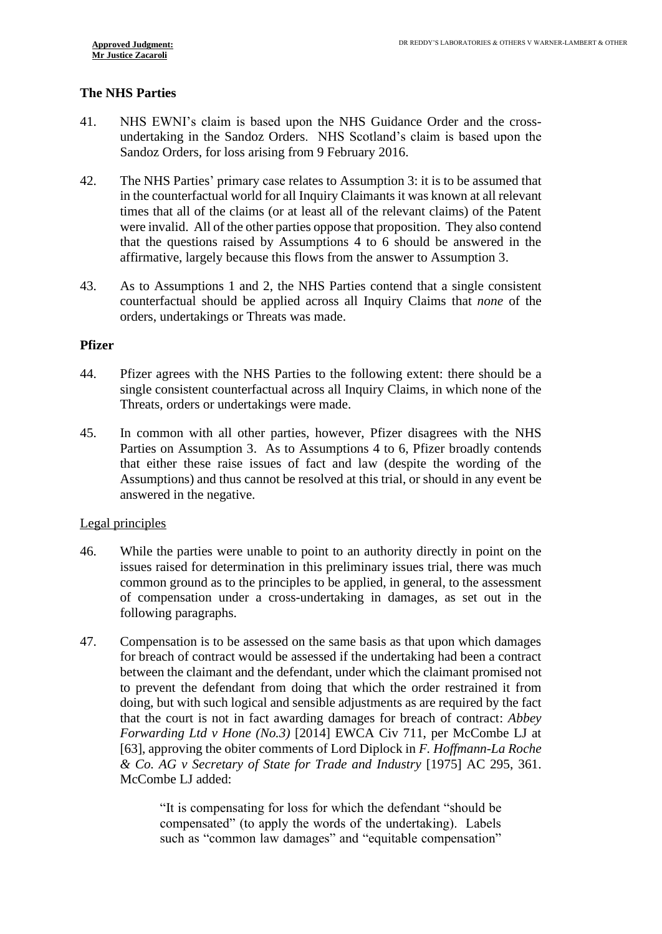# **The NHS Parties**

- 41. NHS EWNI's claim is based upon the NHS Guidance Order and the crossundertaking in the Sandoz Orders. NHS Scotland's claim is based upon the Sandoz Orders, for loss arising from 9 February 2016.
- 42. The NHS Parties' primary case relates to Assumption 3: it is to be assumed that in the counterfactual world for all Inquiry Claimants it was known at all relevant times that all of the claims (or at least all of the relevant claims) of the Patent were invalid. All of the other parties oppose that proposition. They also contend that the questions raised by Assumptions 4 to 6 should be answered in the affirmative, largely because this flows from the answer to Assumption 3.
- 43. As to Assumptions 1 and 2, the NHS Parties contend that a single consistent counterfactual should be applied across all Inquiry Claims that *none* of the orders, undertakings or Threats was made.

#### **Pfizer**

- 44. Pfizer agrees with the NHS Parties to the following extent: there should be a single consistent counterfactual across all Inquiry Claims, in which none of the Threats, orders or undertakings were made.
- 45. In common with all other parties, however, Pfizer disagrees with the NHS Parties on Assumption 3. As to Assumptions 4 to 6, Pfizer broadly contends that either these raise issues of fact and law (despite the wording of the Assumptions) and thus cannot be resolved at this trial, or should in any event be answered in the negative.

#### Legal principles

- 46. While the parties were unable to point to an authority directly in point on the issues raised for determination in this preliminary issues trial, there was much common ground as to the principles to be applied, in general, to the assessment of compensation under a cross-undertaking in damages, as set out in the following paragraphs.
- <span id="page-10-0"></span>47. Compensation is to be assessed on the same basis as that upon which damages for breach of contract would be assessed if the undertaking had been a contract between the claimant and the defendant, under which the claimant promised not to prevent the defendant from doing that which the order restrained it from doing, but with such logical and sensible adjustments as are required by the fact that the court is not in fact awarding damages for breach of contract: *Abbey Forwarding Ltd v Hone (No.3)* [2014] EWCA Civ 711, per McCombe LJ at [63], approving the obiter comments of Lord Diplock in *F. Hoffmann-La Roche & Co. AG v Secretary of State for Trade and Industry* [1975] AC 295, 361. McCombe LJ added:

"It is compensating for loss for which the defendant "should be compensated" (to apply the words of the undertaking). Labels such as "common law damages" and "equitable compensation"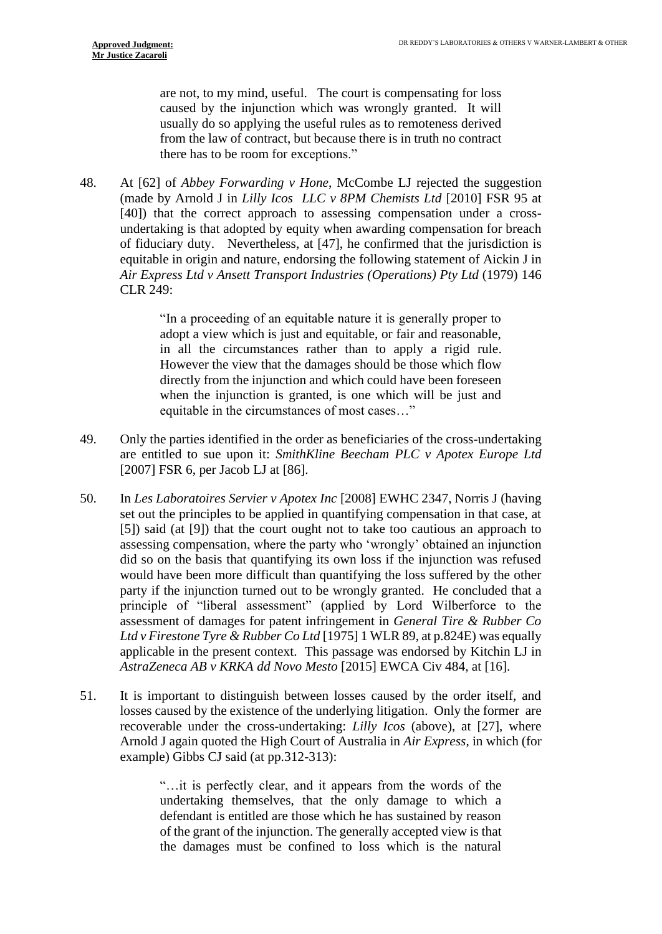are not, to my mind, useful. The court is compensating for loss caused by the injunction which was wrongly granted. It will usually do so applying the useful rules as to remoteness derived from the law of contract, but because there is in truth no contract there has to be room for exceptions."

<span id="page-11-1"></span>48. At [62] of *Abbey Forwarding v Hone*, McCombe LJ rejected the suggestion (made by Arnold J in *Lilly Icos LLC v 8PM Chemists Ltd* [2010] FSR 95 at [40]) that the correct approach to assessing compensation under a crossundertaking is that adopted by equity when awarding compensation for breach of fiduciary duty. Nevertheless, at [47], he confirmed that the jurisdiction is equitable in origin and nature, endorsing the following statement of Aickin J in *Air Express Ltd v Ansett Transport Industries (Operations) Pty Ltd* (1979) 146 CLR 249:

> "In a proceeding of an equitable nature it is generally proper to adopt a view which is just and equitable, or fair and reasonable, in all the circumstances rather than to apply a rigid rule. However the view that the damages should be those which flow directly from the injunction and which could have been foreseen when the injunction is granted, is one which will be just and equitable in the circumstances of most cases…"

- <span id="page-11-0"></span>49. Only the parties identified in the order as beneficiaries of the cross-undertaking are entitled to sue upon it: *SmithKline Beecham PLC v Apotex Europe Ltd* [2007] FSR 6, per Jacob LJ at [86].
- 50. In *Les Laboratoires Servier v Apotex Inc* [2008] EWHC 2347, Norris J (having set out the principles to be applied in quantifying compensation in that case, at [5]) said (at [9]) that the court ought not to take too cautious an approach to assessing compensation, where the party who 'wrongly' obtained an injunction did so on the basis that quantifying its own loss if the injunction was refused would have been more difficult than quantifying the loss suffered by the other party if the injunction turned out to be wrongly granted. He concluded that a principle of "liberal assessment" (applied by Lord Wilberforce to the assessment of damages for patent infringement in *General Tire & Rubber Co Ltd v Firestone Tyre & Rubber Co Ltd* [1975] 1 WLR 89, at p.824E) was equally applicable in the present context. This passage was endorsed by Kitchin LJ in *AstraZeneca AB v KRKA dd Novo Mesto* [2015] EWCA Civ 484, at [16].
- 51. It is important to distinguish between losses caused by the order itself, and losses caused by the existence of the underlying litigation. Only the former are recoverable under the cross-undertaking: *Lilly Icos* (above), at [27], where Arnold J again quoted the High Court of Australia in *Air Express*, in which (for example) Gibbs CJ said (at pp.312-313):

"…it is perfectly clear, and it appears from the words of the undertaking themselves, that the only damage to which a defendant is entitled are those which he has sustained by reason of the grant of the injunction. The generally accepted view is that the damages must be confined to loss which is the natural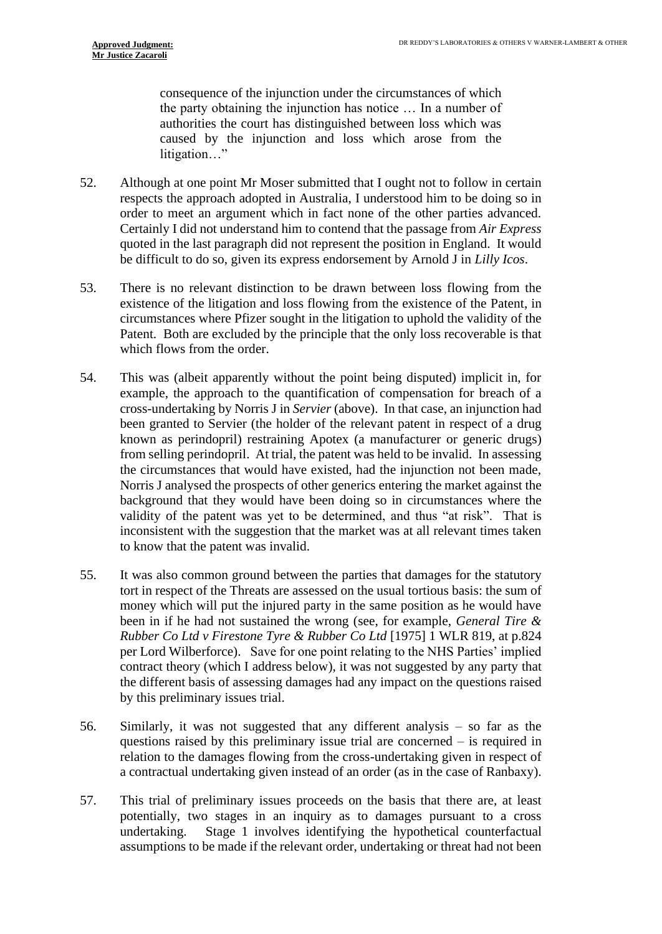consequence of the injunction under the circumstances of which the party obtaining the injunction has notice … In a number of authorities the court has distinguished between loss which was caused by the injunction and loss which arose from the litigation..."

- 52. Although at one point Mr Moser submitted that I ought not to follow in certain respects the approach adopted in Australia, I understood him to be doing so in order to meet an argument which in fact none of the other parties advanced. Certainly I did not understand him to contend that the passage from *Air Express* quoted in the last paragraph did not represent the position in England. It would be difficult to do so, given its express endorsement by Arnold J in *Lilly Icos*.
- 53. There is no relevant distinction to be drawn between loss flowing from the existence of the litigation and loss flowing from the existence of the Patent, in circumstances where Pfizer sought in the litigation to uphold the validity of the Patent. Both are excluded by the principle that the only loss recoverable is that which flows from the order.
- 54. This was (albeit apparently without the point being disputed) implicit in, for example, the approach to the quantification of compensation for breach of a cross-undertaking by Norris J in *Servier* (above). In that case, an injunction had been granted to Servier (the holder of the relevant patent in respect of a drug known as perindopril) restraining Apotex (a manufacturer or generic drugs) from selling perindopril. At trial, the patent was held to be invalid. In assessing the circumstances that would have existed, had the injunction not been made, Norris J analysed the prospects of other generics entering the market against the background that they would have been doing so in circumstances where the validity of the patent was yet to be determined, and thus "at risk". That is inconsistent with the suggestion that the market was at all relevant times taken to know that the patent was invalid.
- 55. It was also common ground between the parties that damages for the statutory tort in respect of the Threats are assessed on the usual tortious basis: the sum of money which will put the injured party in the same position as he would have been in if he had not sustained the wrong (see, for example, *General Tire & Rubber Co Ltd v Firestone Tyre & Rubber Co Ltd* [1975] 1 WLR 819, at p.824 per Lord Wilberforce). Save for one point relating to the NHS Parties' implied contract theory (which I address below), it was not suggested by any party that the different basis of assessing damages had any impact on the questions raised by this preliminary issues trial.
- 56. Similarly, it was not suggested that any different analysis so far as the questions raised by this preliminary issue trial are concerned – is required in relation to the damages flowing from the cross-undertaking given in respect of a contractual undertaking given instead of an order (as in the case of Ranbaxy).
- 57. This trial of preliminary issues proceeds on the basis that there are, at least potentially, two stages in an inquiry as to damages pursuant to a cross undertaking. Stage 1 involves identifying the hypothetical counterfactual assumptions to be made if the relevant order, undertaking or threat had not been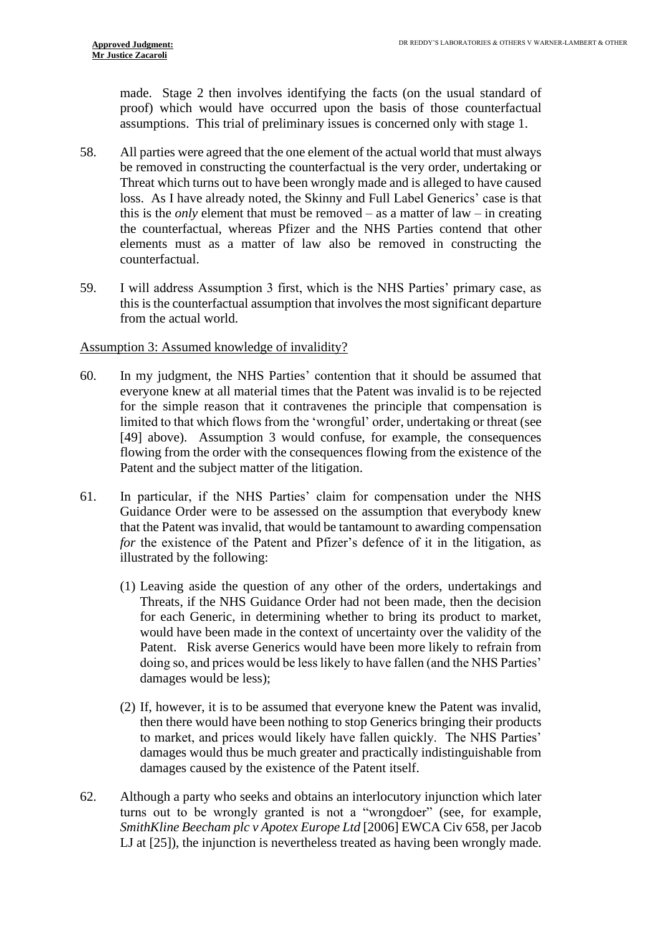made. Stage 2 then involves identifying the facts (on the usual standard of proof) which would have occurred upon the basis of those counterfactual assumptions. This trial of preliminary issues is concerned only with stage 1.

- 58. All parties were agreed that the one element of the actual world that must always be removed in constructing the counterfactual is the very order, undertaking or Threat which turns out to have been wrongly made and is alleged to have caused loss. As I have already noted, the Skinny and Full Label Generics' case is that this is the *only* element that must be removed – as a matter of law – in creating the counterfactual, whereas Pfizer and the NHS Parties contend that other elements must as a matter of law also be removed in constructing the counterfactual.
- 59. I will address Assumption 3 first, which is the NHS Parties' primary case, as this is the counterfactual assumption that involves the most significant departure from the actual world.

#### Assumption 3: Assumed knowledge of invalidity?

- 60. In my judgment, the NHS Parties' contention that it should be assumed that everyone knew at all material times that the Patent was invalid is to be rejected for the simple reason that it contravenes the principle that compensation is limited to that which flows from the 'wrongful' order, undertaking or threat (see [\[49\]](#page-11-0) above). Assumption 3 would confuse, for example, the consequences flowing from the order with the consequences flowing from the existence of the Patent and the subject matter of the litigation.
- 61. In particular, if the NHS Parties' claim for compensation under the NHS Guidance Order were to be assessed on the assumption that everybody knew that the Patent was invalid, that would be tantamount to awarding compensation *for* the existence of the Patent and Pfizer's defence of it in the litigation, as illustrated by the following:
	- (1) Leaving aside the question of any other of the orders, undertakings and Threats, if the NHS Guidance Order had not been made, then the decision for each Generic, in determining whether to bring its product to market, would have been made in the context of uncertainty over the validity of the Patent. Risk averse Generics would have been more likely to refrain from doing so, and prices would be less likely to have fallen (and the NHS Parties' damages would be less);
	- (2) If, however, it is to be assumed that everyone knew the Patent was invalid, then there would have been nothing to stop Generics bringing their products to market, and prices would likely have fallen quickly. The NHS Parties' damages would thus be much greater and practically indistinguishable from damages caused by the existence of the Patent itself.
- 62. Although a party who seeks and obtains an interlocutory injunction which later turns out to be wrongly granted is not a "wrongdoer" (see, for example, *SmithKline Beecham plc v Apotex Europe Ltd* [2006] EWCA Civ 658, per Jacob LJ at  $[25]$ ), the injunction is nevertheless treated as having been wrongly made.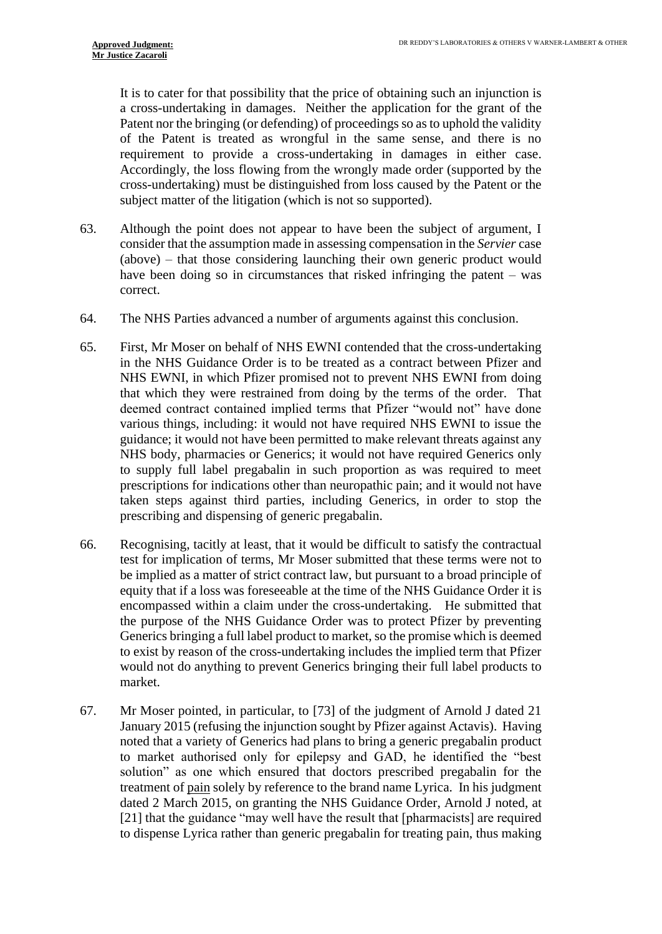It is to cater for that possibility that the price of obtaining such an injunction is a cross-undertaking in damages. Neither the application for the grant of the Patent nor the bringing (or defending) of proceedings so as to uphold the validity of the Patent is treated as wrongful in the same sense, and there is no requirement to provide a cross-undertaking in damages in either case. Accordingly, the loss flowing from the wrongly made order (supported by the cross-undertaking) must be distinguished from loss caused by the Patent or the subject matter of the litigation (which is not so supported).

- 63. Although the point does not appear to have been the subject of argument, I consider that the assumption made in assessing compensation in the *Servier* case (above) – that those considering launching their own generic product would have been doing so in circumstances that risked infringing the patent – was correct.
- 64. The NHS Parties advanced a number of arguments against this conclusion.
- 65. First, Mr Moser on behalf of NHS EWNI contended that the cross-undertaking in the NHS Guidance Order is to be treated as a contract between Pfizer and NHS EWNI, in which Pfizer promised not to prevent NHS EWNI from doing that which they were restrained from doing by the terms of the order. That deemed contract contained implied terms that Pfizer "would not" have done various things, including: it would not have required NHS EWNI to issue the guidance; it would not have been permitted to make relevant threats against any NHS body, pharmacies or Generics; it would not have required Generics only to supply full label pregabalin in such proportion as was required to meet prescriptions for indications other than neuropathic pain; and it would not have taken steps against third parties, including Generics, in order to stop the prescribing and dispensing of generic pregabalin.
- 66. Recognising, tacitly at least, that it would be difficult to satisfy the contractual test for implication of terms, Mr Moser submitted that these terms were not to be implied as a matter of strict contract law, but pursuant to a broad principle of equity that if a loss was foreseeable at the time of the NHS Guidance Order it is encompassed within a claim under the cross-undertaking. He submitted that the purpose of the NHS Guidance Order was to protect Pfizer by preventing Generics bringing a full label product to market, so the promise which is deemed to exist by reason of the cross-undertaking includes the implied term that Pfizer would not do anything to prevent Generics bringing their full label products to market.
- 67. Mr Moser pointed, in particular, to [73] of the judgment of Arnold J dated 21 January 2015 (refusing the injunction sought by Pfizer against Actavis). Having noted that a variety of Generics had plans to bring a generic pregabalin product to market authorised only for epilepsy and GAD, he identified the "best solution" as one which ensured that doctors prescribed pregabalin for the treatment of pain solely by reference to the brand name Lyrica. In his judgment dated 2 March 2015, on granting the NHS Guidance Order, Arnold J noted, at [21] that the guidance "may well have the result that [pharmacists] are required to dispense Lyrica rather than generic pregabalin for treating pain, thus making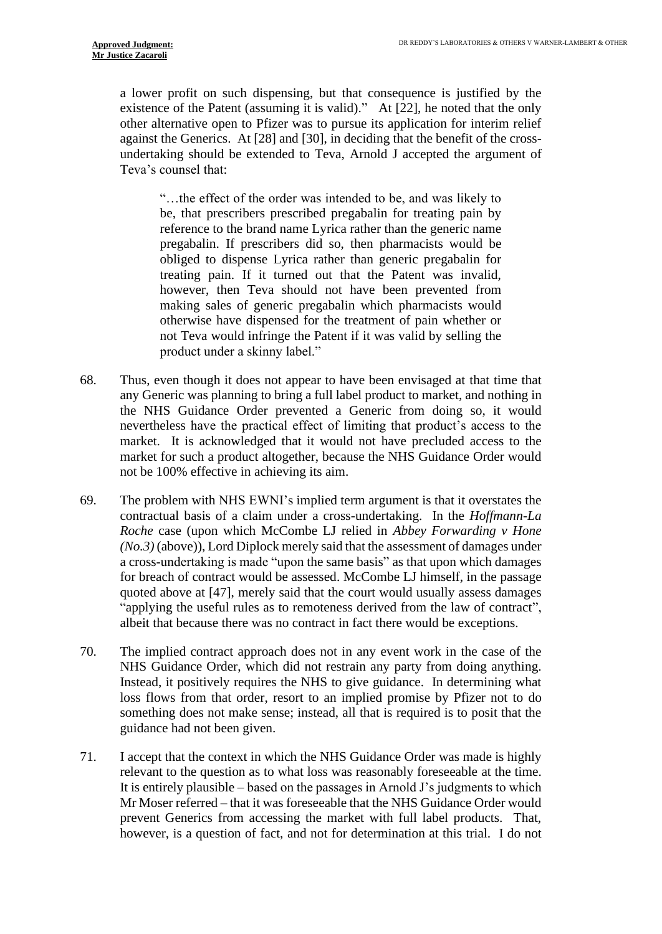a lower profit on such dispensing, but that consequence is justified by the existence of the Patent (assuming it is valid)." At [22], he noted that the only other alternative open to Pfizer was to pursue its application for interim relief against the Generics. At [28] and [30], in deciding that the benefit of the crossundertaking should be extended to Teva, Arnold J accepted the argument of Teva's counsel that:

"…the effect of the order was intended to be, and was likely to be, that prescribers prescribed pregabalin for treating pain by reference to the brand name Lyrica rather than the generic name pregabalin. If prescribers did so, then pharmacists would be obliged to dispense Lyrica rather than generic pregabalin for treating pain. If it turned out that the Patent was invalid, however, then Teva should not have been prevented from making sales of generic pregabalin which pharmacists would otherwise have dispensed for the treatment of pain whether or not Teva would infringe the Patent if it was valid by selling the product under a skinny label."

- <span id="page-15-0"></span>68. Thus, even though it does not appear to have been envisaged at that time that any Generic was planning to bring a full label product to market, and nothing in the NHS Guidance Order prevented a Generic from doing so, it would nevertheless have the practical effect of limiting that product's access to the market. It is acknowledged that it would not have precluded access to the market for such a product altogether, because the NHS Guidance Order would not be 100% effective in achieving its aim.
- 69. The problem with NHS EWNI's implied term argument is that it overstates the contractual basis of a claim under a cross-undertaking. In the *Hoffmann-La Roche* case (upon which McCombe LJ relied in *Abbey Forwarding v Hone (No.3)* (above)), Lord Diplock merely said that the assessment of damages under a cross-undertaking is made "upon the same basis" as that upon which damages for breach of contract would be assessed. McCombe LJ himself, in the passage quoted above at [\[47\]](#page-10-0), merely said that the court would usually assess damages "applying the useful rules as to remoteness derived from the law of contract", albeit that because there was no contract in fact there would be exceptions.
- 70. The implied contract approach does not in any event work in the case of the NHS Guidance Order, which did not restrain any party from doing anything. Instead, it positively requires the NHS to give guidance. In determining what loss flows from that order, resort to an implied promise by Pfizer not to do something does not make sense; instead, all that is required is to posit that the guidance had not been given.
- 71. I accept that the context in which the NHS Guidance Order was made is highly relevant to the question as to what loss was reasonably foreseeable at the time. It is entirely plausible – based on the passages in Arnold J's judgments to which Mr Moser referred – that it was foreseeable that the NHS Guidance Order would prevent Generics from accessing the market with full label products. That, however, is a question of fact, and not for determination at this trial. I do not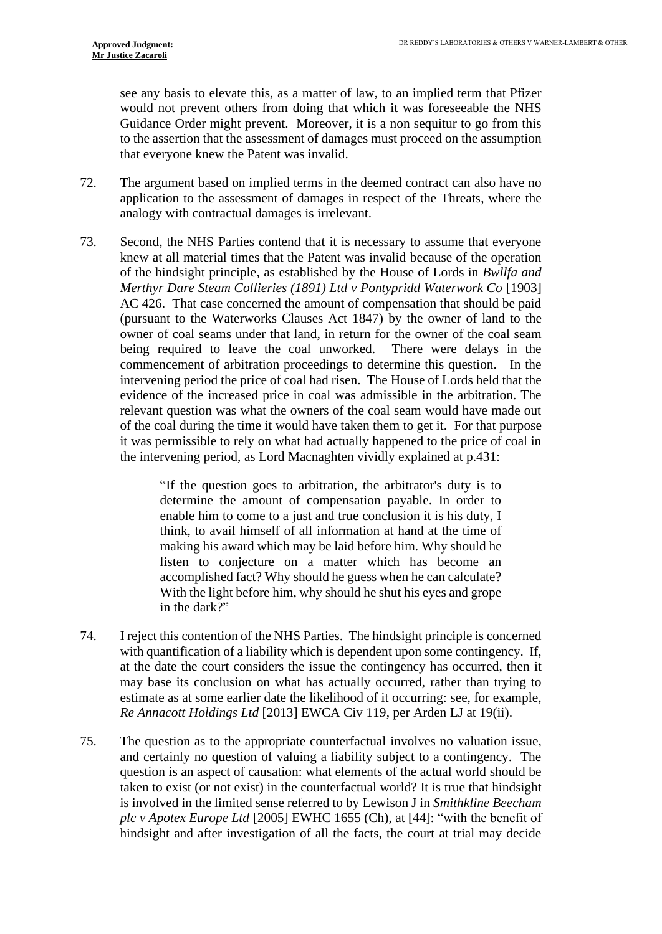see any basis to elevate this, as a matter of law, to an implied term that Pfizer would not prevent others from doing that which it was foreseeable the NHS Guidance Order might prevent. Moreover, it is a non sequitur to go from this to the assertion that the assessment of damages must proceed on the assumption that everyone knew the Patent was invalid.

- 72. The argument based on implied terms in the deemed contract can also have no application to the assessment of damages in respect of the Threats, where the analogy with contractual damages is irrelevant.
- 73. Second, the NHS Parties contend that it is necessary to assume that everyone knew at all material times that the Patent was invalid because of the operation of the hindsight principle, as established by the House of Lords in *Bwllfa and Merthyr Dare Steam Collieries (1891) Ltd v Pontypridd Waterwork Co* [1903] AC 426. That case concerned the amount of compensation that should be paid (pursuant to the Waterworks Clauses Act 1847) by the owner of land to the owner of coal seams under that land, in return for the owner of the coal seam being required to leave the coal unworked. There were delays in the commencement of arbitration proceedings to determine this question. In the intervening period the price of coal had risen. The House of Lords held that the evidence of the increased price in coal was admissible in the arbitration. The relevant question was what the owners of the coal seam would have made out of the coal during the time it would have taken them to get it. For that purpose it was permissible to rely on what had actually happened to the price of coal in the intervening period, as Lord Macnaghten vividly explained at p.431:

"If the question goes to arbitration, the arbitrator's duty is to determine the amount of compensation payable. In order to enable him to come to a just and true conclusion it is his duty, I think, to avail himself of all information at hand at the time of making his award which may be laid before him. Why should he listen to conjecture on a matter which has become an accomplished fact? Why should he guess when he can calculate? With the light before him, why should he shut his eyes and grope in the dark?"

- 74. I reject this contention of the NHS Parties. The hindsight principle is concerned with quantification of a liability which is dependent upon some contingency. If, at the date the court considers the issue the contingency has occurred, then it may base its conclusion on what has actually occurred, rather than trying to estimate as at some earlier date the likelihood of it occurring: see, for example, *Re Annacott Holdings Ltd* [2013] EWCA Civ 119, per Arden LJ at 19(ii).
- 75. The question as to the appropriate counterfactual involves no valuation issue, and certainly no question of valuing a liability subject to a contingency. The question is an aspect of causation: what elements of the actual world should be taken to exist (or not exist) in the counterfactual world? It is true that hindsight is involved in the limited sense referred to by Lewison J in *Smithkline Beecham plc v Apotex Europe Ltd* [2005] EWHC 1655 (Ch), at [44]: "with the benefit of hindsight and after investigation of all the facts, the court at trial may decide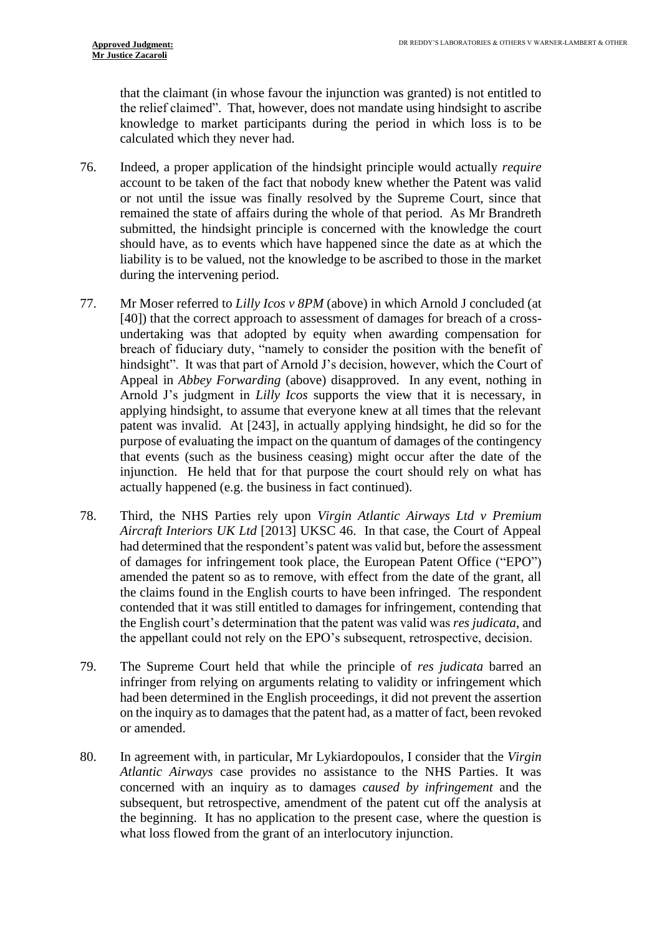that the claimant (in whose favour the injunction was granted) is not entitled to the relief claimed". That, however, does not mandate using hindsight to ascribe knowledge to market participants during the period in which loss is to be calculated which they never had.

- 76. Indeed, a proper application of the hindsight principle would actually *require* account to be taken of the fact that nobody knew whether the Patent was valid or not until the issue was finally resolved by the Supreme Court, since that remained the state of affairs during the whole of that period. As Mr Brandreth submitted, the hindsight principle is concerned with the knowledge the court should have, as to events which have happened since the date as at which the liability is to be valued, not the knowledge to be ascribed to those in the market during the intervening period.
- 77. Mr Moser referred to *Lilly Icos v 8PM* (above) in which Arnold J concluded (at [40]) that the correct approach to assessment of damages for breach of a crossundertaking was that adopted by equity when awarding compensation for breach of fiduciary duty, "namely to consider the position with the benefit of hindsight". It was that part of Arnold J's decision, however, which the Court of Appeal in *Abbey Forwarding* (above) disapproved. In any event, nothing in Arnold J's judgment in *Lilly Icos* supports the view that it is necessary, in applying hindsight, to assume that everyone knew at all times that the relevant patent was invalid. At [243], in actually applying hindsight, he did so for the purpose of evaluating the impact on the quantum of damages of the contingency that events (such as the business ceasing) might occur after the date of the injunction. He held that for that purpose the court should rely on what has actually happened (e.g. the business in fact continued).
- 78. Third, the NHS Parties rely upon *Virgin Atlantic Airways Ltd v Premium Aircraft Interiors UK Ltd* [2013] UKSC 46. In that case, the Court of Appeal had determined that the respondent's patent was valid but, before the assessment of damages for infringement took place, the European Patent Office ("EPO") amended the patent so as to remove, with effect from the date of the grant, all the claims found in the English courts to have been infringed. The respondent contended that it was still entitled to damages for infringement, contending that the English court's determination that the patent was valid was *res judicata*, and the appellant could not rely on the EPO's subsequent, retrospective, decision.
- 79. The Supreme Court held that while the principle of *res judicata* barred an infringer from relying on arguments relating to validity or infringement which had been determined in the English proceedings, it did not prevent the assertion on the inquiry as to damages that the patent had, as a matter of fact, been revoked or amended.
- 80. In agreement with, in particular, Mr Lykiardopoulos, I consider that the *Virgin Atlantic Airways* case provides no assistance to the NHS Parties. It was concerned with an inquiry as to damages *caused by infringement* and the subsequent, but retrospective, amendment of the patent cut off the analysis at the beginning. It has no application to the present case, where the question is what loss flowed from the grant of an interlocutory injunction.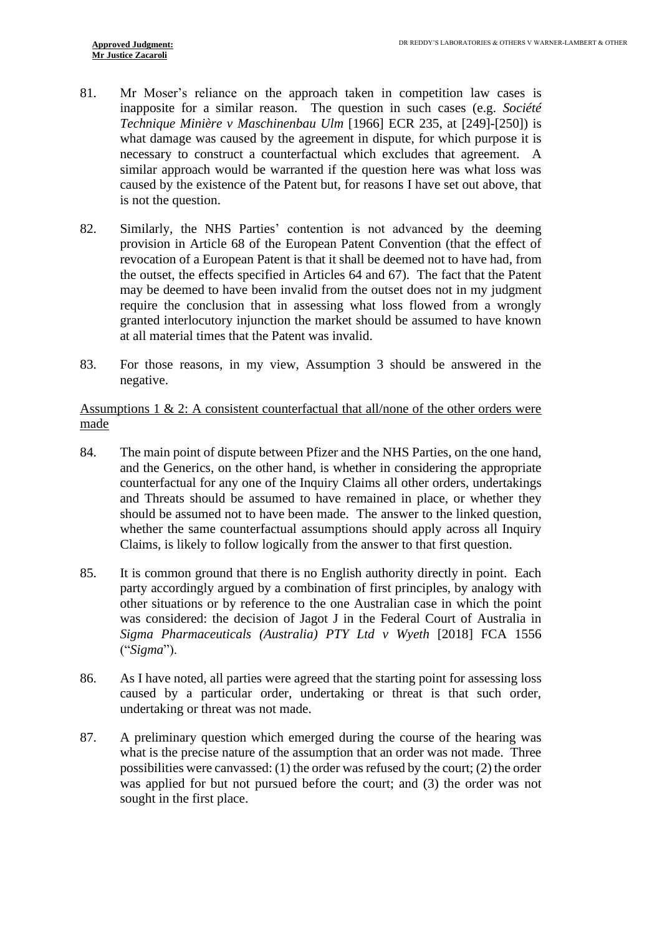- 81. Mr Moser's reliance on the approach taken in competition law cases is inapposite for a similar reason. The question in such cases (e.g. *Société Technique Minière v Maschinenbau Ulm* [1966] ECR 235, at [249]-[250]) is what damage was caused by the agreement in dispute, for which purpose it is necessary to construct a counterfactual which excludes that agreement. A similar approach would be warranted if the question here was what loss was caused by the existence of the Patent but, for reasons I have set out above, that is not the question.
- 82. Similarly, the NHS Parties' contention is not advanced by the deeming provision in Article 68 of the European Patent Convention (that the effect of revocation of a European Patent is that it shall be deemed not to have had, from the outset, the effects specified in Articles 64 and 67). The fact that the Patent may be deemed to have been invalid from the outset does not in my judgment require the conclusion that in assessing what loss flowed from a wrongly granted interlocutory injunction the market should be assumed to have known at all material times that the Patent was invalid.
- 83. For those reasons, in my view, Assumption 3 should be answered in the negative.

Assumptions 1 & 2: A consistent counterfactual that all/none of the other orders were made

- 84. The main point of dispute between Pfizer and the NHS Parties, on the one hand, and the Generics, on the other hand, is whether in considering the appropriate counterfactual for any one of the Inquiry Claims all other orders, undertakings and Threats should be assumed to have remained in place, or whether they should be assumed not to have been made. The answer to the linked question, whether the same counterfactual assumptions should apply across all Inquiry Claims, is likely to follow logically from the answer to that first question.
- 85. It is common ground that there is no English authority directly in point. Each party accordingly argued by a combination of first principles, by analogy with other situations or by reference to the one Australian case in which the point was considered: the decision of Jagot J in the Federal Court of Australia in *Sigma Pharmaceuticals (Australia) PTY Ltd v Wyeth* [2018] FCA 1556 ("*Sigma*").
- 86. As I have noted, all parties were agreed that the starting point for assessing loss caused by a particular order, undertaking or threat is that such order, undertaking or threat was not made.
- 87. A preliminary question which emerged during the course of the hearing was what is the precise nature of the assumption that an order was not made. Three possibilities were canvassed: (1) the order was refused by the court; (2) the order was applied for but not pursued before the court; and (3) the order was not sought in the first place.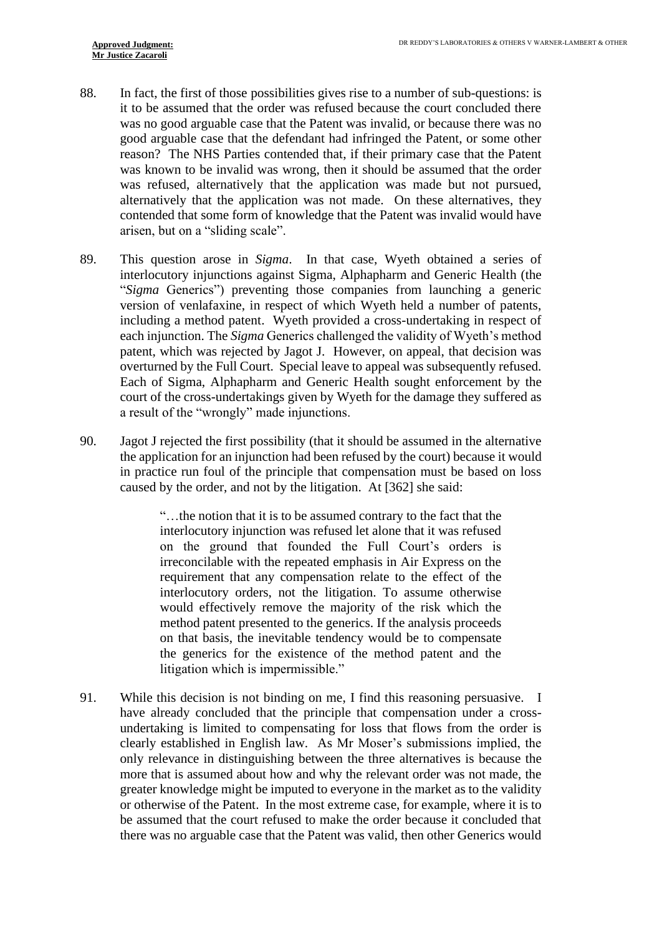- 88. In fact, the first of those possibilities gives rise to a number of sub-questions: is it to be assumed that the order was refused because the court concluded there was no good arguable case that the Patent was invalid, or because there was no good arguable case that the defendant had infringed the Patent, or some other reason? The NHS Parties contended that, if their primary case that the Patent was known to be invalid was wrong, then it should be assumed that the order was refused, alternatively that the application was made but not pursued, alternatively that the application was not made. On these alternatives, they contended that some form of knowledge that the Patent was invalid would have arisen, but on a "sliding scale".
- 89. This question arose in *Sigma*. In that case, Wyeth obtained a series of interlocutory injunctions against Sigma, Alphapharm and Generic Health (the "*Sigma* Generics") preventing those companies from launching a generic version of venlafaxine, in respect of which Wyeth held a number of patents, including a method patent. Wyeth provided a cross-undertaking in respect of each injunction. The *Sigma* Generics challenged the validity of Wyeth's method patent, which was rejected by Jagot J. However, on appeal, that decision was overturned by the Full Court. Special leave to appeal was subsequently refused. Each of Sigma, Alphapharm and Generic Health sought enforcement by the court of the cross-undertakings given by Wyeth for the damage they suffered as a result of the "wrongly" made injunctions.
- 90. Jagot J rejected the first possibility (that it should be assumed in the alternative the application for an injunction had been refused by the court) because it would in practice run foul of the principle that compensation must be based on loss caused by the order, and not by the litigation. At [362] she said:

"…the notion that it is to be assumed contrary to the fact that the interlocutory injunction was refused let alone that it was refused on the ground that founded the Full Court's orders is irreconcilable with the repeated emphasis in Air Express on the requirement that any compensation relate to the effect of the interlocutory orders, not the litigation. To assume otherwise would effectively remove the majority of the risk which the method patent presented to the generics. If the analysis proceeds on that basis, the inevitable tendency would be to compensate the generics for the existence of the method patent and the litigation which is impermissible."

91. While this decision is not binding on me, I find this reasoning persuasive. I have already concluded that the principle that compensation under a crossundertaking is limited to compensating for loss that flows from the order is clearly established in English law. As Mr Moser's submissions implied, the only relevance in distinguishing between the three alternatives is because the more that is assumed about how and why the relevant order was not made, the greater knowledge might be imputed to everyone in the market as to the validity or otherwise of the Patent. In the most extreme case, for example, where it is to be assumed that the court refused to make the order because it concluded that there was no arguable case that the Patent was valid, then other Generics would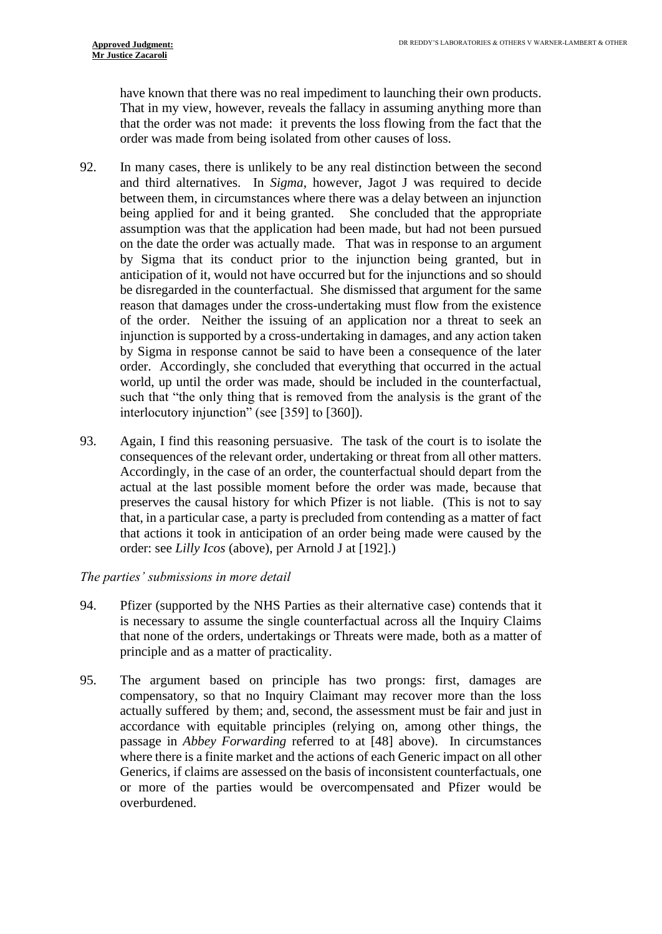have known that there was no real impediment to launching their own products. That in my view, however, reveals the fallacy in assuming anything more than that the order was not made: it prevents the loss flowing from the fact that the order was made from being isolated from other causes of loss.

- 92. In many cases, there is unlikely to be any real distinction between the second and third alternatives. In *Sigma*, however, Jagot J was required to decide between them, in circumstances where there was a delay between an injunction being applied for and it being granted. She concluded that the appropriate assumption was that the application had been made, but had not been pursued on the date the order was actually made. That was in response to an argument by Sigma that its conduct prior to the injunction being granted, but in anticipation of it, would not have occurred but for the injunctions and so should be disregarded in the counterfactual. She dismissed that argument for the same reason that damages under the cross-undertaking must flow from the existence of the order. Neither the issuing of an application nor a threat to seek an injunction is supported by a cross-undertaking in damages, and any action taken by Sigma in response cannot be said to have been a consequence of the later order. Accordingly, she concluded that everything that occurred in the actual world, up until the order was made, should be included in the counterfactual, such that "the only thing that is removed from the analysis is the grant of the interlocutory injunction" (see [359] to [360]).
- 93. Again, I find this reasoning persuasive. The task of the court is to isolate the consequences of the relevant order, undertaking or threat from all other matters. Accordingly, in the case of an order, the counterfactual should depart from the actual at the last possible moment before the order was made, because that preserves the causal history for which Pfizer is not liable. (This is not to say that, in a particular case, a party is precluded from contending as a matter of fact that actions it took in anticipation of an order being made were caused by the order: see *Lilly Icos* (above), per Arnold J at [192].)

#### *The parties' submissions in more detail*

- 94. Pfizer (supported by the NHS Parties as their alternative case) contends that it is necessary to assume the single counterfactual across all the Inquiry Claims that none of the orders, undertakings or Threats were made, both as a matter of principle and as a matter of practicality.
- 95. The argument based on principle has two prongs: first, damages are compensatory, so that no Inquiry Claimant may recover more than the loss actually suffered by them; and, second, the assessment must be fair and just in accordance with equitable principles (relying on, among other things, the passage in *Abbey Forwarding* referred to at [\[48\]](#page-11-1) above). In circumstances where there is a finite market and the actions of each Generic impact on all other Generics, if claims are assessed on the basis of inconsistent counterfactuals, one or more of the parties would be overcompensated and Pfizer would be overburdened.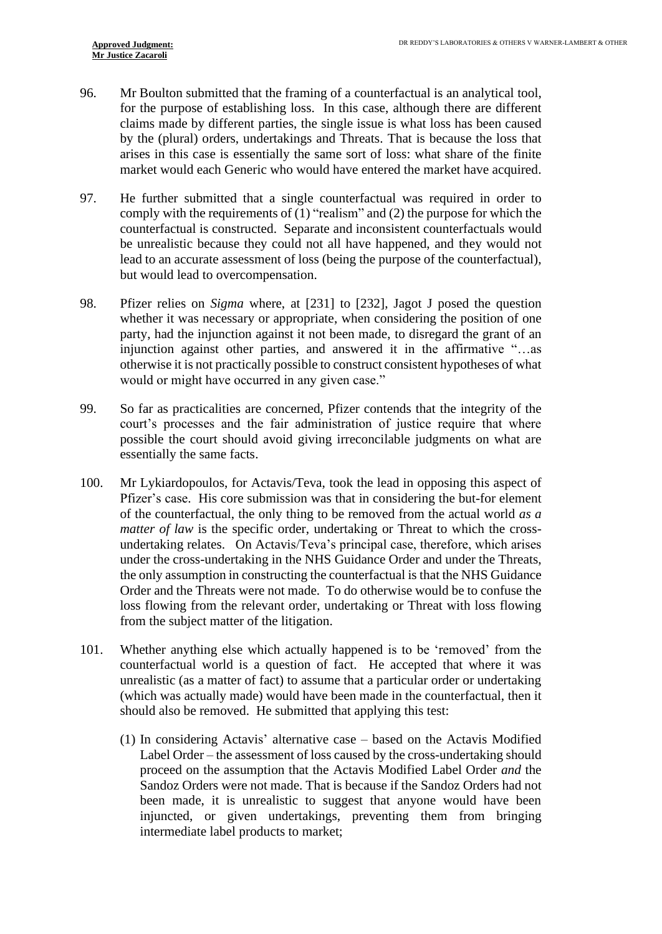- 96. Mr Boulton submitted that the framing of a counterfactual is an analytical tool, for the purpose of establishing loss. In this case, although there are different claims made by different parties, the single issue is what loss has been caused by the (plural) orders, undertakings and Threats. That is because the loss that arises in this case is essentially the same sort of loss: what share of the finite market would each Generic who would have entered the market have acquired.
- 97. He further submitted that a single counterfactual was required in order to comply with the requirements of (1) "realism" and (2) the purpose for which the counterfactual is constructed. Separate and inconsistent counterfactuals would be unrealistic because they could not all have happened, and they would not lead to an accurate assessment of loss (being the purpose of the counterfactual), but would lead to overcompensation.
- 98. Pfizer relies on *Sigma* where, at [231] to [232], Jagot J posed the question whether it was necessary or appropriate, when considering the position of one party, had the injunction against it not been made, to disregard the grant of an injunction against other parties, and answered it in the affirmative "…as otherwise it is not practically possible to construct consistent hypotheses of what would or might have occurred in any given case."
- 99. So far as practicalities are concerned, Pfizer contends that the integrity of the court's processes and the fair administration of justice require that where possible the court should avoid giving irreconcilable judgments on what are essentially the same facts.
- 100. Mr Lykiardopoulos, for Actavis/Teva, took the lead in opposing this aspect of Pfizer's case. His core submission was that in considering the but-for element of the counterfactual, the only thing to be removed from the actual world *as a matter of law* is the specific order, undertaking or Threat to which the crossundertaking relates. On Actavis/Teva's principal case, therefore, which arises under the cross-undertaking in the NHS Guidance Order and under the Threats, the only assumption in constructing the counterfactual is that the NHS Guidance Order and the Threats were not made. To do otherwise would be to confuse the loss flowing from the relevant order, undertaking or Threat with loss flowing from the subject matter of the litigation.
- <span id="page-21-0"></span>101. Whether anything else which actually happened is to be 'removed' from the counterfactual world is a question of fact. He accepted that where it was unrealistic (as a matter of fact) to assume that a particular order or undertaking (which was actually made) would have been made in the counterfactual, then it should also be removed. He submitted that applying this test:
	- (1) In considering Actavis' alternative case based on the Actavis Modified Label Order – the assessment of loss caused by the cross-undertaking should proceed on the assumption that the Actavis Modified Label Order *and* the Sandoz Orders were not made. That is because if the Sandoz Orders had not been made, it is unrealistic to suggest that anyone would have been injuncted, or given undertakings, preventing them from bringing intermediate label products to market;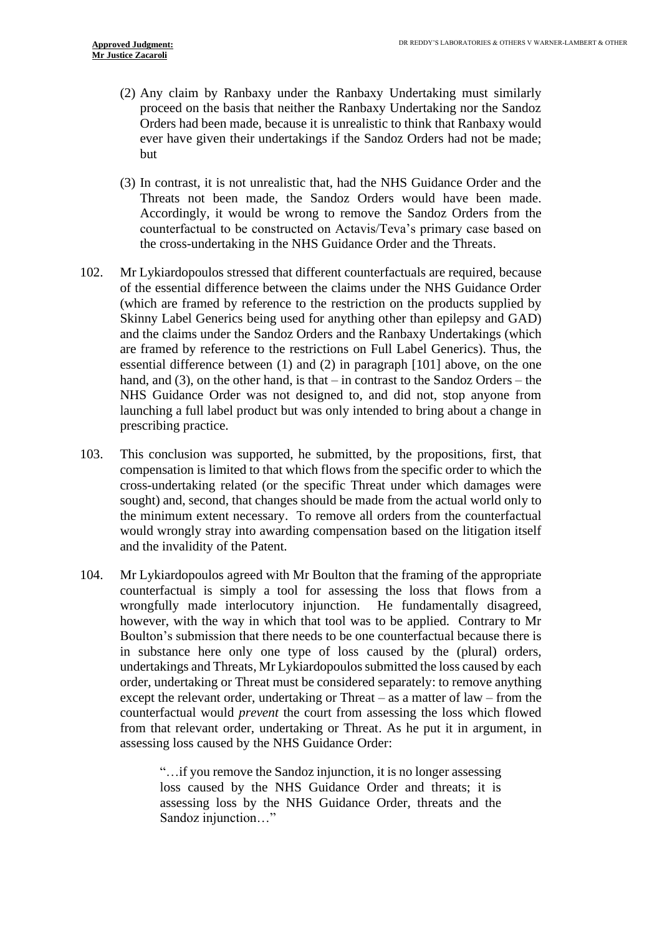- (2) Any claim by Ranbaxy under the Ranbaxy Undertaking must similarly proceed on the basis that neither the Ranbaxy Undertaking nor the Sandoz Orders had been made, because it is unrealistic to think that Ranbaxy would ever have given their undertakings if the Sandoz Orders had not be made; but
- (3) In contrast, it is not unrealistic that, had the NHS Guidance Order and the Threats not been made, the Sandoz Orders would have been made. Accordingly, it would be wrong to remove the Sandoz Orders from the counterfactual to be constructed on Actavis/Teva's primary case based on the cross-undertaking in the NHS Guidance Order and the Threats.
- <span id="page-22-0"></span>102. Mr Lykiardopoulos stressed that different counterfactuals are required, because of the essential difference between the claims under the NHS Guidance Order (which are framed by reference to the restriction on the products supplied by Skinny Label Generics being used for anything other than epilepsy and GAD) and the claims under the Sandoz Orders and the Ranbaxy Undertakings (which are framed by reference to the restrictions on Full Label Generics). Thus, the essential difference between (1) and (2) in paragraph [\[101\]](#page-21-0) above, on the one hand, and (3), on the other hand, is that – in contrast to the Sandoz Orders – the NHS Guidance Order was not designed to, and did not, stop anyone from launching a full label product but was only intended to bring about a change in prescribing practice.
- 103. This conclusion was supported, he submitted, by the propositions, first, that compensation is limited to that which flows from the specific order to which the cross-undertaking related (or the specific Threat under which damages were sought) and, second, that changes should be made from the actual world only to the minimum extent necessary. To remove all orders from the counterfactual would wrongly stray into awarding compensation based on the litigation itself and the invalidity of the Patent.
- 104. Mr Lykiardopoulos agreed with Mr Boulton that the framing of the appropriate counterfactual is simply a tool for assessing the loss that flows from a wrongfully made interlocutory injunction. He fundamentally disagreed, however, with the way in which that tool was to be applied. Contrary to Mr Boulton's submission that there needs to be one counterfactual because there is in substance here only one type of loss caused by the (plural) orders, undertakings and Threats, Mr Lykiardopoulos submitted the loss caused by each order, undertaking or Threat must be considered separately: to remove anything except the relevant order, undertaking or Threat – as a matter of law – from the counterfactual would *prevent* the court from assessing the loss which flowed from that relevant order, undertaking or Threat. As he put it in argument, in assessing loss caused by the NHS Guidance Order:

"…if you remove the Sandoz injunction, it is no longer assessing loss caused by the NHS Guidance Order and threats; it is assessing loss by the NHS Guidance Order, threats and the Sandoz injunction…"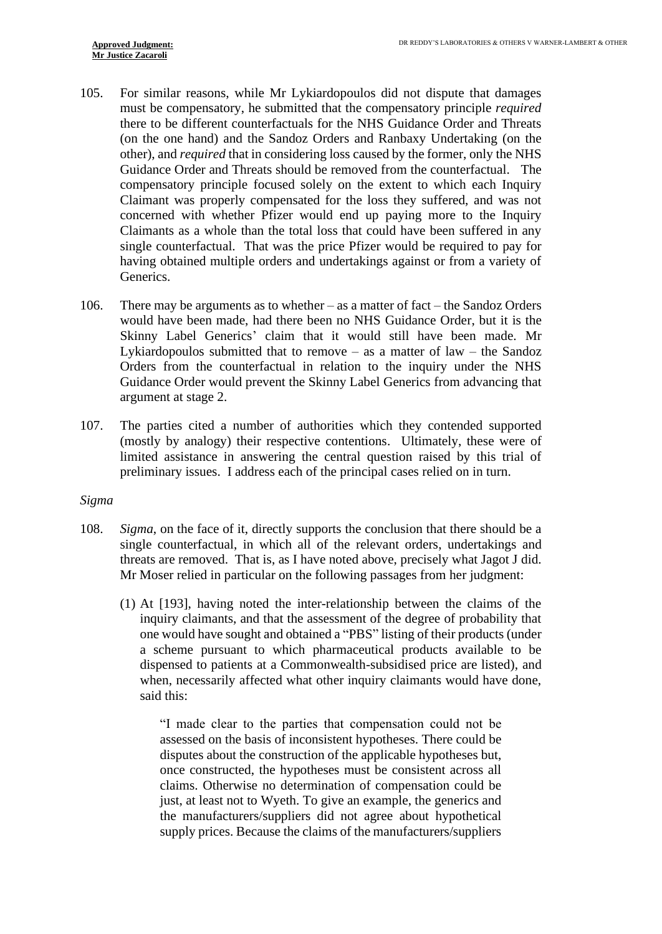- 105. For similar reasons, while Mr Lykiardopoulos did not dispute that damages must be compensatory, he submitted that the compensatory principle *required* there to be different counterfactuals for the NHS Guidance Order and Threats (on the one hand) and the Sandoz Orders and Ranbaxy Undertaking (on the other), and *required* that in considering loss caused by the former, only the NHS Guidance Order and Threats should be removed from the counterfactual. The compensatory principle focused solely on the extent to which each Inquiry Claimant was properly compensated for the loss they suffered, and was not concerned with whether Pfizer would end up paying more to the Inquiry Claimants as a whole than the total loss that could have been suffered in any single counterfactual. That was the price Pfizer would be required to pay for having obtained multiple orders and undertakings against or from a variety of Generics.
- 106. There may be arguments as to whether as a matter of fact the Sandoz Orders would have been made, had there been no NHS Guidance Order, but it is the Skinny Label Generics' claim that it would still have been made. Mr Lykiardopoulos submitted that to remove – as a matter of law – the Sandoz Orders from the counterfactual in relation to the inquiry under the NHS Guidance Order would prevent the Skinny Label Generics from advancing that argument at stage 2.
- 107. The parties cited a number of authorities which they contended supported (mostly by analogy) their respective contentions. Ultimately, these were of limited assistance in answering the central question raised by this trial of preliminary issues. I address each of the principal cases relied on in turn.

#### *Sigma*

- 108. *Sigma*, on the face of it, directly supports the conclusion that there should be a single counterfactual, in which all of the relevant orders, undertakings and threats are removed. That is, as I have noted above, precisely what Jagot J did. Mr Moser relied in particular on the following passages from her judgment:
	- (1) At [193], having noted the inter-relationship between the claims of the inquiry claimants, and that the assessment of the degree of probability that one would have sought and obtained a "PBS" listing of their products (under a scheme pursuant to which pharmaceutical products available to be dispensed to patients at a Commonwealth-subsidised price are listed), and when, necessarily affected what other inquiry claimants would have done, said this:

"I made clear to the parties that compensation could not be assessed on the basis of inconsistent hypotheses. There could be disputes about the construction of the applicable hypotheses but, once constructed, the hypotheses must be consistent across all claims. Otherwise no determination of compensation could be just, at least not to Wyeth. To give an example, the generics and the manufacturers/suppliers did not agree about hypothetical supply prices. Because the claims of the manufacturers/suppliers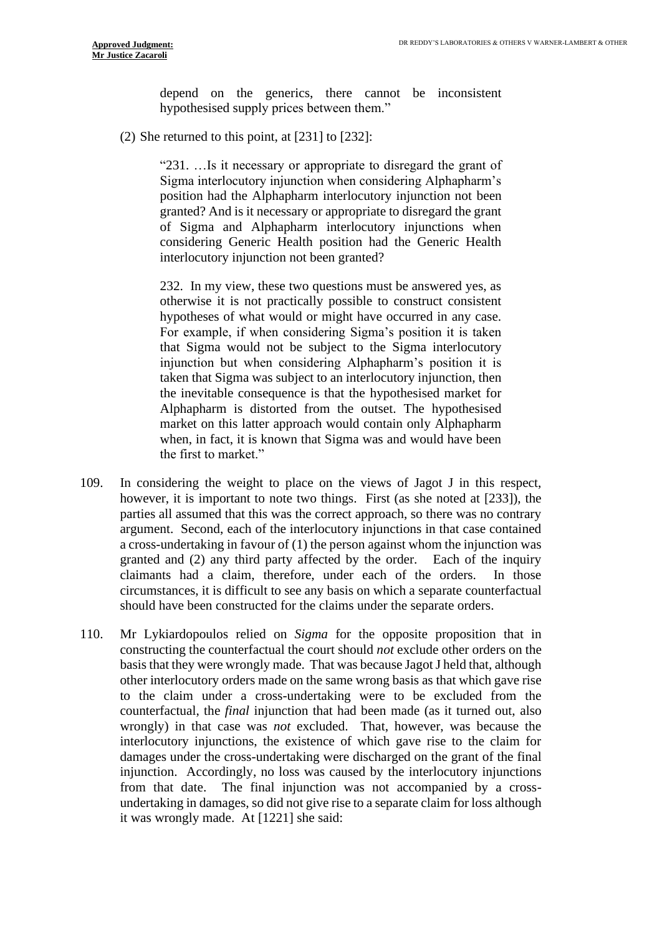depend on the generics, there cannot be inconsistent hypothesised supply prices between them."

(2) She returned to this point, at [231] to [232]:

"231. …Is it necessary or appropriate to disregard the grant of Sigma interlocutory injunction when considering Alphapharm's position had the Alphapharm interlocutory injunction not been granted? And is it necessary or appropriate to disregard the grant of Sigma and Alphapharm interlocutory injunctions when considering Generic Health position had the Generic Health interlocutory injunction not been granted?

232. In my view, these two questions must be answered yes, as otherwise it is not practically possible to construct consistent hypotheses of what would or might have occurred in any case. For example, if when considering Sigma's position it is taken that Sigma would not be subject to the Sigma interlocutory injunction but when considering Alphapharm's position it is taken that Sigma was subject to an interlocutory injunction, then the inevitable consequence is that the hypothesised market for Alphapharm is distorted from the outset. The hypothesised market on this latter approach would contain only Alphapharm when, in fact, it is known that Sigma was and would have been the first to market."

- 109. In considering the weight to place on the views of Jagot J in this respect, however, it is important to note two things. First (as she noted at [233]), the parties all assumed that this was the correct approach, so there was no contrary argument. Second, each of the interlocutory injunctions in that case contained a cross-undertaking in favour of (1) the person against whom the injunction was granted and (2) any third party affected by the order. Each of the inquiry claimants had a claim, therefore, under each of the orders. In those circumstances, it is difficult to see any basis on which a separate counterfactual should have been constructed for the claims under the separate orders.
- 110. Mr Lykiardopoulos relied on *Sigma* for the opposite proposition that in constructing the counterfactual the court should *not* exclude other orders on the basis that they were wrongly made. That was because Jagot J held that, although other interlocutory orders made on the same wrong basis as that which gave rise to the claim under a cross-undertaking were to be excluded from the counterfactual, the *final* injunction that had been made (as it turned out, also wrongly) in that case was *not* excluded. That, however, was because the interlocutory injunctions, the existence of which gave rise to the claim for damages under the cross-undertaking were discharged on the grant of the final injunction. Accordingly, no loss was caused by the interlocutory injunctions from that date. The final injunction was not accompanied by a crossundertaking in damages, so did not give rise to a separate claim for loss although it was wrongly made. At [1221] she said: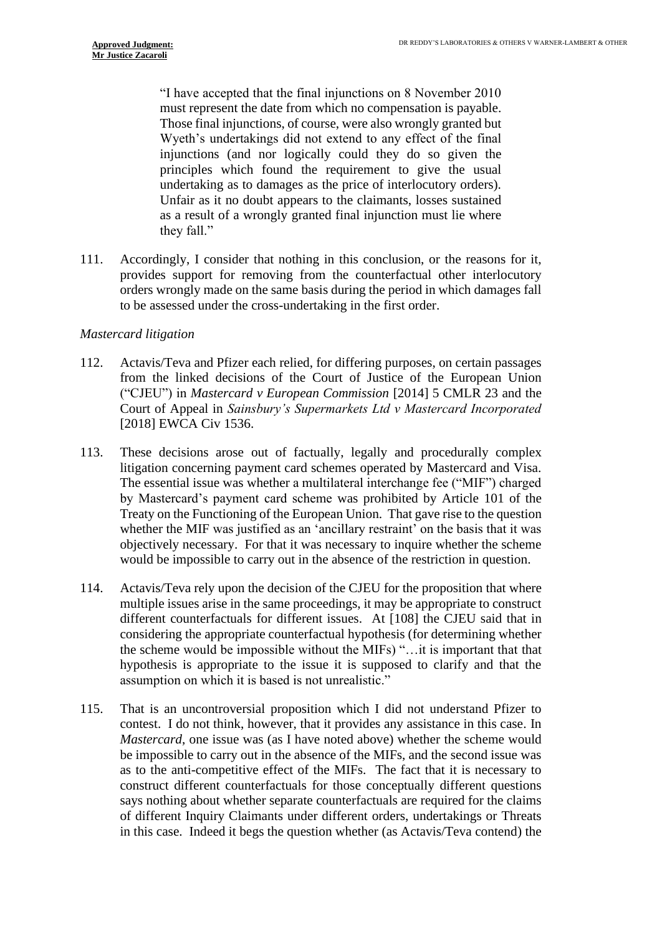"I have accepted that the final injunctions on 8 November 2010 must represent the date from which no compensation is payable. Those final injunctions, of course, were also wrongly granted but Wyeth's undertakings did not extend to any effect of the final injunctions (and nor logically could they do so given the principles which found the requirement to give the usual undertaking as to damages as the price of interlocutory orders). Unfair as it no doubt appears to the claimants, losses sustained as a result of a wrongly granted final injunction must lie where they fall."

111. Accordingly, I consider that nothing in this conclusion, or the reasons for it, provides support for removing from the counterfactual other interlocutory orders wrongly made on the same basis during the period in which damages fall to be assessed under the cross-undertaking in the first order.

#### *Mastercard litigation*

- 112. Actavis/Teva and Pfizer each relied, for differing purposes, on certain passages from the linked decisions of the Court of Justice of the European Union ("CJEU") in *Mastercard v European Commission* [2014] 5 CMLR 23 and the Court of Appeal in *Sainsbury's Supermarkets Ltd v Mastercard Incorporated* [2018] EWCA Civ 1536.
- 113. These decisions arose out of factually, legally and procedurally complex litigation concerning payment card schemes operated by Mastercard and Visa. The essential issue was whether a multilateral interchange fee ("MIF") charged by Mastercard's payment card scheme was prohibited by Article 101 of the Treaty on the Functioning of the European Union. That gave rise to the question whether the MIF was justified as an 'ancillary restraint' on the basis that it was objectively necessary. For that it was necessary to inquire whether the scheme would be impossible to carry out in the absence of the restriction in question.
- 114. Actavis/Teva rely upon the decision of the CJEU for the proposition that where multiple issues arise in the same proceedings, it may be appropriate to construct different counterfactuals for different issues. At [108] the CJEU said that in considering the appropriate counterfactual hypothesis (for determining whether the scheme would be impossible without the MIFs) "…it is important that that hypothesis is appropriate to the issue it is supposed to clarify and that the assumption on which it is based is not unrealistic."
- 115. That is an uncontroversial proposition which I did not understand Pfizer to contest. I do not think, however, that it provides any assistance in this case. In *Mastercard*, one issue was (as I have noted above) whether the scheme would be impossible to carry out in the absence of the MIFs, and the second issue was as to the anti-competitive effect of the MIFs. The fact that it is necessary to construct different counterfactuals for those conceptually different questions says nothing about whether separate counterfactuals are required for the claims of different Inquiry Claimants under different orders, undertakings or Threats in this case. Indeed it begs the question whether (as Actavis/Teva contend) the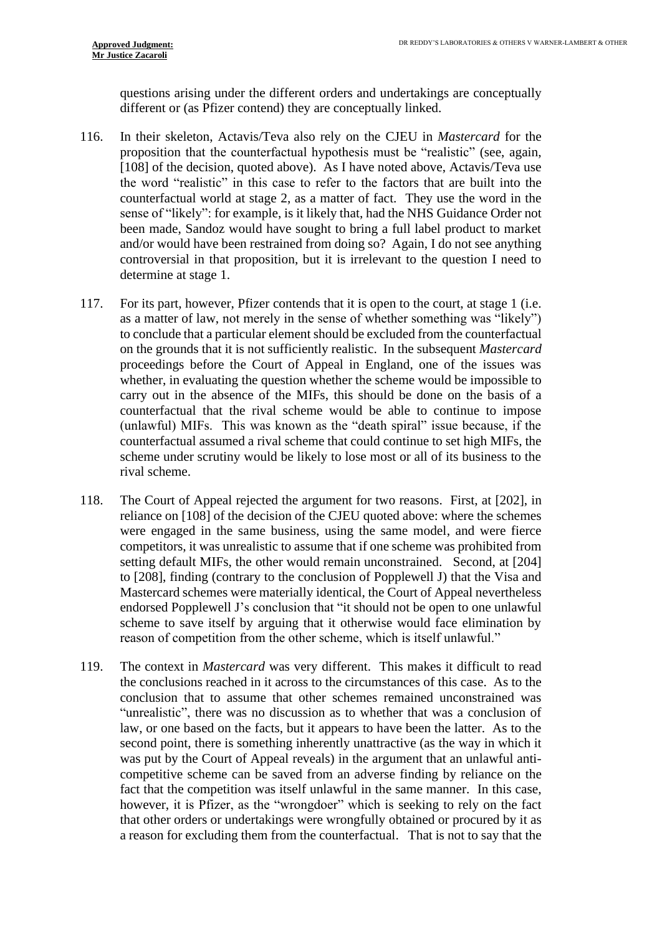questions arising under the different orders and undertakings are conceptually different or (as Pfizer contend) they are conceptually linked.

- 116. In their skeleton, Actavis/Teva also rely on the CJEU in *Mastercard* for the proposition that the counterfactual hypothesis must be "realistic" (see, again, [108] of the decision, quoted above). As I have noted above, Actavis/Teva use the word "realistic" in this case to refer to the factors that are built into the counterfactual world at stage 2, as a matter of fact. They use the word in the sense of "likely": for example, is it likely that, had the NHS Guidance Order not been made, Sandoz would have sought to bring a full label product to market and/or would have been restrained from doing so? Again, I do not see anything controversial in that proposition, but it is irrelevant to the question I need to determine at stage 1.
- 117. For its part, however, Pfizer contends that it is open to the court, at stage 1 (i.e. as a matter of law, not merely in the sense of whether something was "likely") to conclude that a particular element should be excluded from the counterfactual on the grounds that it is not sufficiently realistic. In the subsequent *Mastercard* proceedings before the Court of Appeal in England, one of the issues was whether, in evaluating the question whether the scheme would be impossible to carry out in the absence of the MIFs, this should be done on the basis of a counterfactual that the rival scheme would be able to continue to impose (unlawful) MIFs. This was known as the "death spiral" issue because, if the counterfactual assumed a rival scheme that could continue to set high MIFs, the scheme under scrutiny would be likely to lose most or all of its business to the rival scheme.
- 118. The Court of Appeal rejected the argument for two reasons. First, at [202], in reliance on [108] of the decision of the CJEU quoted above: where the schemes were engaged in the same business, using the same model, and were fierce competitors, it was unrealistic to assume that if one scheme was prohibited from setting default MIFs, the other would remain unconstrained. Second, at [204] to [208], finding (contrary to the conclusion of Popplewell J) that the Visa and Mastercard schemes were materially identical, the Court of Appeal nevertheless endorsed Popplewell J's conclusion that "it should not be open to one unlawful scheme to save itself by arguing that it otherwise would face elimination by reason of competition from the other scheme, which is itself unlawful."
- 119. The context in *Mastercard* was very different. This makes it difficult to read the conclusions reached in it across to the circumstances of this case. As to the conclusion that to assume that other schemes remained unconstrained was "unrealistic", there was no discussion as to whether that was a conclusion of law, or one based on the facts, but it appears to have been the latter. As to the second point, there is something inherently unattractive (as the way in which it was put by the Court of Appeal reveals) in the argument that an unlawful anticompetitive scheme can be saved from an adverse finding by reliance on the fact that the competition was itself unlawful in the same manner. In this case, however, it is Pfizer, as the "wrongdoer" which is seeking to rely on the fact that other orders or undertakings were wrongfully obtained or procured by it as a reason for excluding them from the counterfactual. That is not to say that the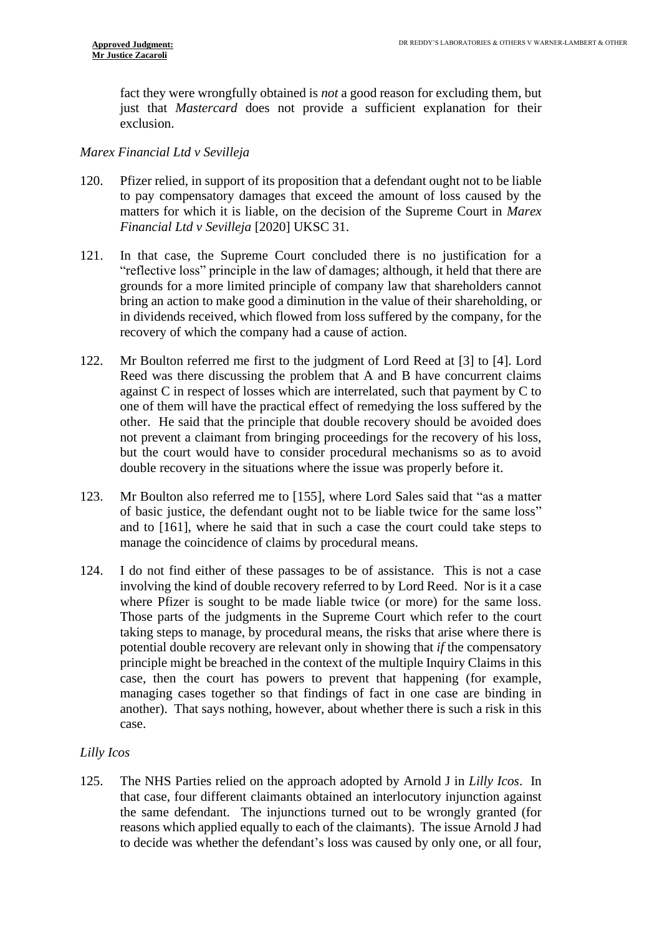fact they were wrongfully obtained is *not* a good reason for excluding them, but just that *Mastercard* does not provide a sufficient explanation for their exclusion.

## *Marex Financial Ltd v Sevilleja*

- 120. Pfizer relied, in support of its proposition that a defendant ought not to be liable to pay compensatory damages that exceed the amount of loss caused by the matters for which it is liable, on the decision of the Supreme Court in *Marex Financial Ltd v Sevilleja* [2020] UKSC 31.
- 121. In that case, the Supreme Court concluded there is no justification for a "reflective loss" principle in the law of damages; although, it held that there are grounds for a more limited principle of company law that shareholders cannot bring an action to make good a diminution in the value of their shareholding, or in dividends received, which flowed from loss suffered by the company, for the recovery of which the company had a cause of action.
- 122. Mr Boulton referred me first to the judgment of Lord Reed at [3] to [4]. Lord Reed was there discussing the problem that A and B have concurrent claims against C in respect of losses which are interrelated, such that payment by C to one of them will have the practical effect of remedying the loss suffered by the other. He said that the principle that double recovery should be avoided does not prevent a claimant from bringing proceedings for the recovery of his loss, but the court would have to consider procedural mechanisms so as to avoid double recovery in the situations where the issue was properly before it.
- 123. Mr Boulton also referred me to [155], where Lord Sales said that "as a matter of basic justice, the defendant ought not to be liable twice for the same loss" and to [161], where he said that in such a case the court could take steps to manage the coincidence of claims by procedural means.
- 124. I do not find either of these passages to be of assistance. This is not a case involving the kind of double recovery referred to by Lord Reed. Nor is it a case where Pfizer is sought to be made liable twice (or more) for the same loss. Those parts of the judgments in the Supreme Court which refer to the court taking steps to manage, by procedural means, the risks that arise where there is potential double recovery are relevant only in showing that *if* the compensatory principle might be breached in the context of the multiple Inquiry Claims in this case, then the court has powers to prevent that happening (for example, managing cases together so that findings of fact in one case are binding in another). That says nothing, however, about whether there is such a risk in this case.

# *Lilly Icos*

125. The NHS Parties relied on the approach adopted by Arnold J in *Lilly Icos*. In that case, four different claimants obtained an interlocutory injunction against the same defendant. The injunctions turned out to be wrongly granted (for reasons which applied equally to each of the claimants). The issue Arnold J had to decide was whether the defendant's loss was caused by only one, or all four,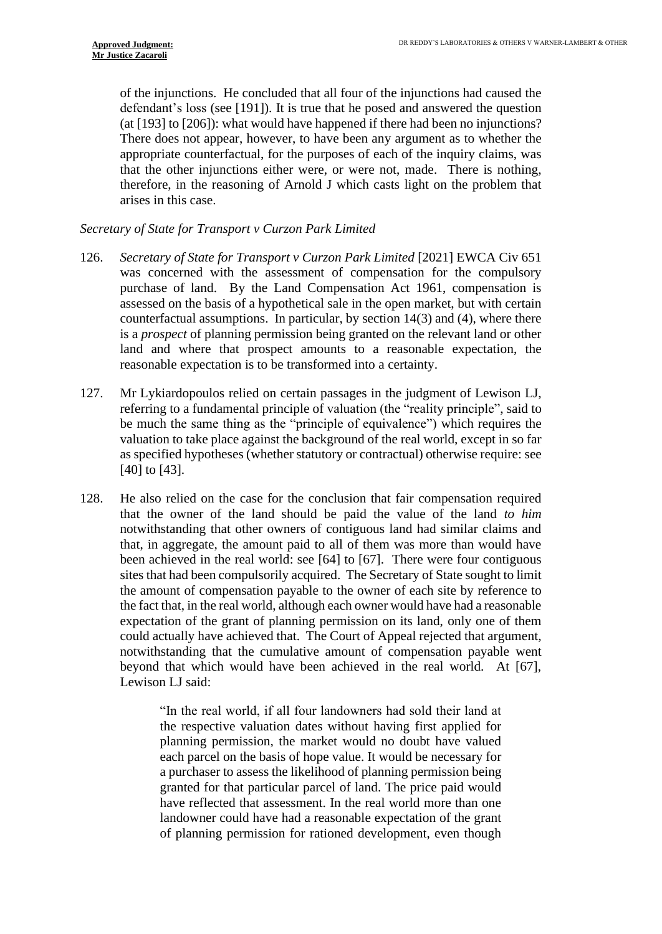of the injunctions. He concluded that all four of the injunctions had caused the defendant's loss (see [191]). It is true that he posed and answered the question (at [193] to [206]): what would have happened if there had been no injunctions? There does not appear, however, to have been any argument as to whether the appropriate counterfactual, for the purposes of each of the inquiry claims, was that the other injunctions either were, or were not, made. There is nothing, therefore, in the reasoning of Arnold J which casts light on the problem that arises in this case.

# *Secretary of State for Transport v Curzon Park Limited*

- 126. *Secretary of State for Transport v Curzon Park Limited* [2021] EWCA Civ 651 was concerned with the assessment of compensation for the compulsory purchase of land. By the Land Compensation Act 1961, compensation is assessed on the basis of a hypothetical sale in the open market, but with certain counterfactual assumptions. In particular, by section 14(3) and (4), where there is a *prospect* of planning permission being granted on the relevant land or other land and where that prospect amounts to a reasonable expectation, the reasonable expectation is to be transformed into a certainty.
- 127. Mr Lykiardopoulos relied on certain passages in the judgment of Lewison LJ, referring to a fundamental principle of valuation (the "reality principle", said to be much the same thing as the "principle of equivalence") which requires the valuation to take place against the background of the real world, except in so far as specified hypotheses (whether statutory or contractual) otherwise require: see [40] to [43].
- 128. He also relied on the case for the conclusion that fair compensation required that the owner of the land should be paid the value of the land *to him*  notwithstanding that other owners of contiguous land had similar claims and that, in aggregate, the amount paid to all of them was more than would have been achieved in the real world: see [64] to [67]. There were four contiguous sites that had been compulsorily acquired. The Secretary of State sought to limit the amount of compensation payable to the owner of each site by reference to the fact that, in the real world, although each owner would have had a reasonable expectation of the grant of planning permission on its land, only one of them could actually have achieved that. The Court of Appeal rejected that argument, notwithstanding that the cumulative amount of compensation payable went beyond that which would have been achieved in the real world. At [67], Lewison LJ said:

"In the real world, if all four landowners had sold their land at the respective valuation dates without having first applied for planning permission, the market would no doubt have valued each parcel on the basis of hope value. It would be necessary for a purchaser to assess the likelihood of planning permission being granted for that particular parcel of land. The price paid would have reflected that assessment. In the real world more than one landowner could have had a reasonable expectation of the grant of planning permission for rationed development, even though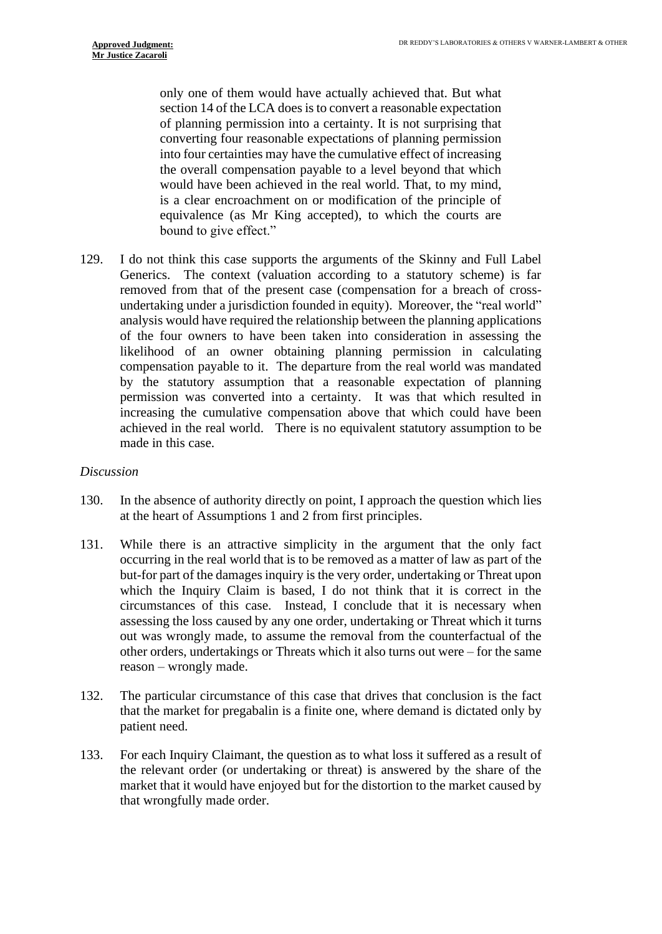only one of them would have actually achieved that. But what section 14 of the LCA does is to convert a reasonable expectation of planning permission into a certainty. It is not surprising that converting four reasonable expectations of planning permission into four certainties may have the cumulative effect of increasing the overall compensation payable to a level beyond that which would have been achieved in the real world. That, to my mind, is a clear encroachment on or modification of the principle of equivalence (as Mr King accepted), to which the courts are bound to give effect."

129. I do not think this case supports the arguments of the Skinny and Full Label Generics. The context (valuation according to a statutory scheme) is far removed from that of the present case (compensation for a breach of crossundertaking under a jurisdiction founded in equity). Moreover, the "real world" analysis would have required the relationship between the planning applications of the four owners to have been taken into consideration in assessing the likelihood of an owner obtaining planning permission in calculating compensation payable to it. The departure from the real world was mandated by the statutory assumption that a reasonable expectation of planning permission was converted into a certainty. It was that which resulted in increasing the cumulative compensation above that which could have been achieved in the real world. There is no equivalent statutory assumption to be made in this case.

#### *Discussion*

- 130. In the absence of authority directly on point, I approach the question which lies at the heart of Assumptions 1 and 2 from first principles.
- 131. While there is an attractive simplicity in the argument that the only fact occurring in the real world that is to be removed as a matter of law as part of the but-for part of the damages inquiry is the very order, undertaking or Threat upon which the Inquiry Claim is based, I do not think that it is correct in the circumstances of this case. Instead, I conclude that it is necessary when assessing the loss caused by any one order, undertaking or Threat which it turns out was wrongly made, to assume the removal from the counterfactual of the other orders, undertakings or Threats which it also turns out were – for the same reason – wrongly made.
- 132. The particular circumstance of this case that drives that conclusion is the fact that the market for pregabalin is a finite one, where demand is dictated only by patient need.
- 133. For each Inquiry Claimant, the question as to what loss it suffered as a result of the relevant order (or undertaking or threat) is answered by the share of the market that it would have enjoyed but for the distortion to the market caused by that wrongfully made order.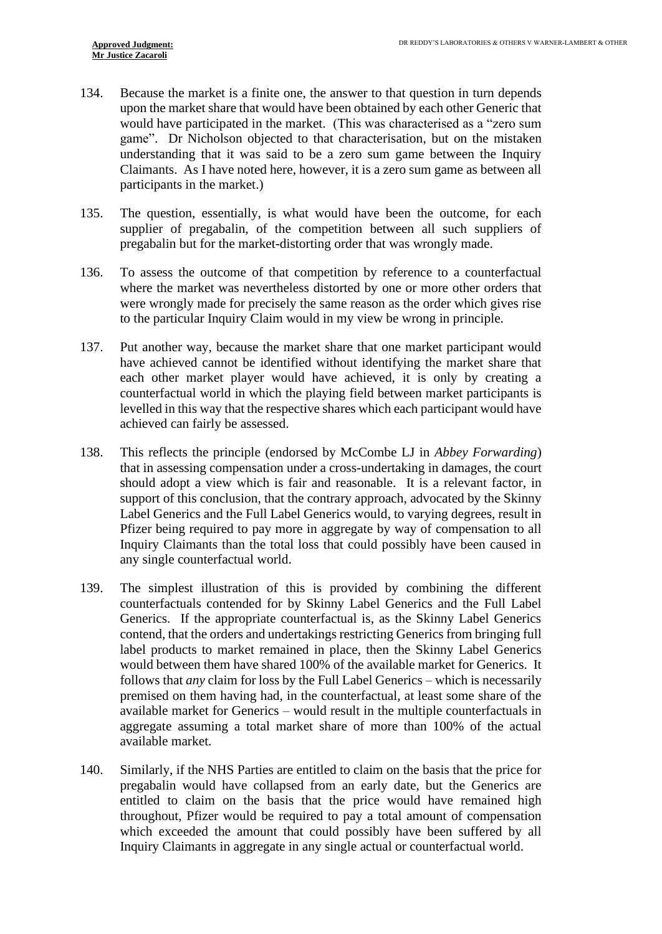- 134. Because the market is a finite one, the answer to that question in turn depends upon the market share that would have been obtained by each other Generic that would have participated in the market. (This was characterised as a "zero sum game". Dr Nicholson objected to that characterisation, but on the mistaken understanding that it was said to be a zero sum game between the Inquiry Claimants. As I have noted here, however, it is a zero sum game as between all participants in the market.)
- 135. The question, essentially, is what would have been the outcome, for each supplier of pregabalin, of the competition between all such suppliers of pregabalin but for the market-distorting order that was wrongly made.
- 136. To assess the outcome of that competition by reference to a counterfactual where the market was nevertheless distorted by one or more other orders that were wrongly made for precisely the same reason as the order which gives rise to the particular Inquiry Claim would in my view be wrong in principle.
- 137. Put another way, because the market share that one market participant would have achieved cannot be identified without identifying the market share that each other market player would have achieved, it is only by creating a counterfactual world in which the playing field between market participants is levelled in this way that the respective shares which each participant would have achieved can fairly be assessed.
- 138. This reflects the principle (endorsed by McCombe LJ in *Abbey Forwarding*) that in assessing compensation under a cross-undertaking in damages, the court should adopt a view which is fair and reasonable. It is a relevant factor, in support of this conclusion, that the contrary approach, advocated by the Skinny Label Generics and the Full Label Generics would, to varying degrees, result in Pfizer being required to pay more in aggregate by way of compensation to all Inquiry Claimants than the total loss that could possibly have been caused in any single counterfactual world.
- 139. The simplest illustration of this is provided by combining the different counterfactuals contended for by Skinny Label Generics and the Full Label Generics. If the appropriate counterfactual is, as the Skinny Label Generics contend, that the orders and undertakings restricting Generics from bringing full label products to market remained in place, then the Skinny Label Generics would between them have shared 100% of the available market for Generics. It follows that *any* claim for loss by the Full Label Generics – which is necessarily premised on them having had, in the counterfactual, at least some share of the available market for Generics – would result in the multiple counterfactuals in aggregate assuming a total market share of more than 100% of the actual available market.
- 140. Similarly, if the NHS Parties are entitled to claim on the basis that the price for pregabalin would have collapsed from an early date, but the Generics are entitled to claim on the basis that the price would have remained high throughout, Pfizer would be required to pay a total amount of compensation which exceeded the amount that could possibly have been suffered by all Inquiry Claimants in aggregate in any single actual or counterfactual world.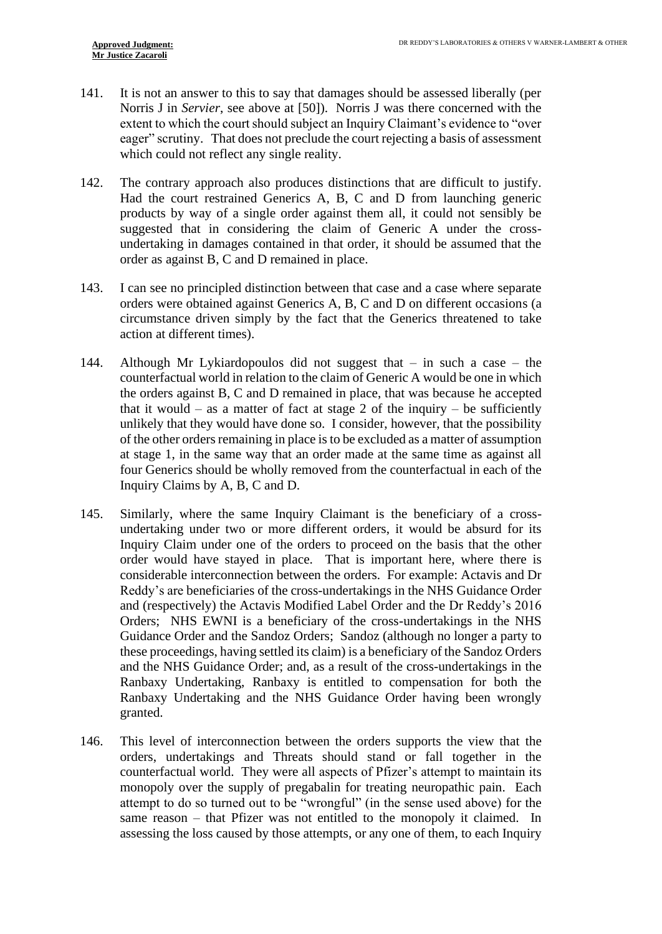- 141. It is not an answer to this to say that damages should be assessed liberally (per Norris J in *Servier*, see above at [50]). Norris J was there concerned with the extent to which the court should subject an Inquiry Claimant's evidence to "over eager" scrutiny. That does not preclude the court rejecting a basis of assessment which could not reflect any single reality.
- 142. The contrary approach also produces distinctions that are difficult to justify. Had the court restrained Generics A, B, C and D from launching generic products by way of a single order against them all, it could not sensibly be suggested that in considering the claim of Generic A under the crossundertaking in damages contained in that order, it should be assumed that the order as against B, C and D remained in place.
- 143. I can see no principled distinction between that case and a case where separate orders were obtained against Generics A, B, C and D on different occasions (a circumstance driven simply by the fact that the Generics threatened to take action at different times).
- 144. Although Mr Lykiardopoulos did not suggest that in such a case the counterfactual world in relation to the claim of Generic A would be one in which the orders against B, C and D remained in place, that was because he accepted that it would – as a matter of fact at stage 2 of the inquiry – be sufficiently unlikely that they would have done so. I consider, however, that the possibility of the other orders remaining in place is to be excluded as a matter of assumption at stage 1, in the same way that an order made at the same time as against all four Generics should be wholly removed from the counterfactual in each of the Inquiry Claims by A, B, C and D.
- 145. Similarly, where the same Inquiry Claimant is the beneficiary of a crossundertaking under two or more different orders, it would be absurd for its Inquiry Claim under one of the orders to proceed on the basis that the other order would have stayed in place. That is important here, where there is considerable interconnection between the orders. For example: Actavis and Dr Reddy's are beneficiaries of the cross-undertakings in the NHS Guidance Order and (respectively) the Actavis Modified Label Order and the Dr Reddy's 2016 Orders; NHS EWNI is a beneficiary of the cross-undertakings in the NHS Guidance Order and the Sandoz Orders; Sandoz (although no longer a party to these proceedings, having settled its claim) is a beneficiary of the Sandoz Orders and the NHS Guidance Order; and, as a result of the cross-undertakings in the Ranbaxy Undertaking, Ranbaxy is entitled to compensation for both the Ranbaxy Undertaking and the NHS Guidance Order having been wrongly granted.
- 146. This level of interconnection between the orders supports the view that the orders, undertakings and Threats should stand or fall together in the counterfactual world. They were all aspects of Pfizer's attempt to maintain its monopoly over the supply of pregabalin for treating neuropathic pain. Each attempt to do so turned out to be "wrongful" (in the sense used above) for the same reason – that Pfizer was not entitled to the monopoly it claimed. In assessing the loss caused by those attempts, or any one of them, to each Inquiry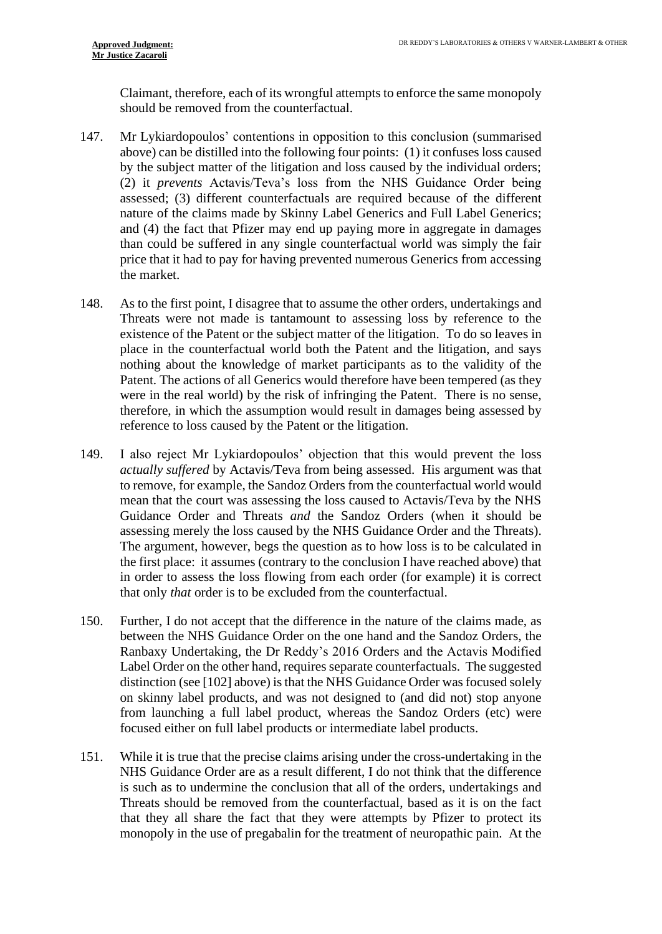Claimant, therefore, each of its wrongful attempts to enforce the same monopoly should be removed from the counterfactual.

- 147. Mr Lykiardopoulos' contentions in opposition to this conclusion (summarised above) can be distilled into the following four points: (1) it confuses loss caused by the subject matter of the litigation and loss caused by the individual orders; (2) it *prevents* Actavis/Teva's loss from the NHS Guidance Order being assessed; (3) different counterfactuals are required because of the different nature of the claims made by Skinny Label Generics and Full Label Generics; and (4) the fact that Pfizer may end up paying more in aggregate in damages than could be suffered in any single counterfactual world was simply the fair price that it had to pay for having prevented numerous Generics from accessing the market.
- 148. As to the first point, I disagree that to assume the other orders, undertakings and Threats were not made is tantamount to assessing loss by reference to the existence of the Patent or the subject matter of the litigation. To do so leaves in place in the counterfactual world both the Patent and the litigation, and says nothing about the knowledge of market participants as to the validity of the Patent. The actions of all Generics would therefore have been tempered (as they were in the real world) by the risk of infringing the Patent. There is no sense, therefore, in which the assumption would result in damages being assessed by reference to loss caused by the Patent or the litigation.
- <span id="page-32-0"></span>149. I also reject Mr Lykiardopoulos' objection that this would prevent the loss *actually suffered* by Actavis/Teva from being assessed. His argument was that to remove, for example, the Sandoz Orders from the counterfactual world would mean that the court was assessing the loss caused to Actavis/Teva by the NHS Guidance Order and Threats *and* the Sandoz Orders (when it should be assessing merely the loss caused by the NHS Guidance Order and the Threats). The argument, however, begs the question as to how loss is to be calculated in the first place: it assumes (contrary to the conclusion I have reached above) that in order to assess the loss flowing from each order (for example) it is correct that only *that* order is to be excluded from the counterfactual.
- 150. Further, I do not accept that the difference in the nature of the claims made, as between the NHS Guidance Order on the one hand and the Sandoz Orders, the Ranbaxy Undertaking, the Dr Reddy's 2016 Orders and the Actavis Modified Label Order on the other hand, requires separate counterfactuals. The suggested distinction (see [\[102\]](#page-22-0) above) is that the NHS Guidance Order was focused solely on skinny label products, and was not designed to (and did not) stop anyone from launching a full label product, whereas the Sandoz Orders (etc) were focused either on full label products or intermediate label products.
- 151. While it is true that the precise claims arising under the cross-undertaking in the NHS Guidance Order are as a result different, I do not think that the difference is such as to undermine the conclusion that all of the orders, undertakings and Threats should be removed from the counterfactual, based as it is on the fact that they all share the fact that they were attempts by Pfizer to protect its monopoly in the use of pregabalin for the treatment of neuropathic pain. At the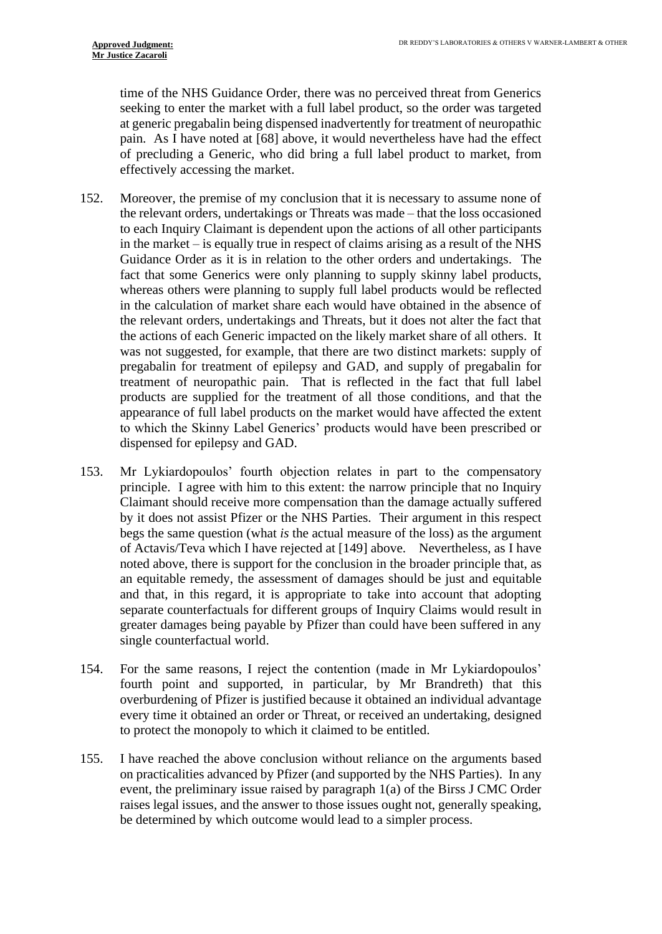time of the NHS Guidance Order, there was no perceived threat from Generics seeking to enter the market with a full label product, so the order was targeted at generic pregabalin being dispensed inadvertently for treatment of neuropathic pain. As I have noted at [\[68\]](#page-15-0) above, it would nevertheless have had the effect of precluding a Generic, who did bring a full label product to market, from effectively accessing the market.

- 152. Moreover, the premise of my conclusion that it is necessary to assume none of the relevant orders, undertakings or Threats was made – that the loss occasioned to each Inquiry Claimant is dependent upon the actions of all other participants in the market – is equally true in respect of claims arising as a result of the NHS Guidance Order as it is in relation to the other orders and undertakings. The fact that some Generics were only planning to supply skinny label products, whereas others were planning to supply full label products would be reflected in the calculation of market share each would have obtained in the absence of the relevant orders, undertakings and Threats, but it does not alter the fact that the actions of each Generic impacted on the likely market share of all others. It was not suggested, for example, that there are two distinct markets: supply of pregabalin for treatment of epilepsy and GAD, and supply of pregabalin for treatment of neuropathic pain. That is reflected in the fact that full label products are supplied for the treatment of all those conditions, and that the appearance of full label products on the market would have affected the extent to which the Skinny Label Generics' products would have been prescribed or dispensed for epilepsy and GAD.
- 153. Mr Lykiardopoulos' fourth objection relates in part to the compensatory principle. I agree with him to this extent: the narrow principle that no Inquiry Claimant should receive more compensation than the damage actually suffered by it does not assist Pfizer or the NHS Parties. Their argument in this respect begs the same question (what *is* the actual measure of the loss) as the argument of Actavis/Teva which I have rejected at [\[149\]](#page-32-0) above. Nevertheless, as I have noted above, there is support for the conclusion in the broader principle that, as an equitable remedy, the assessment of damages should be just and equitable and that, in this regard, it is appropriate to take into account that adopting separate counterfactuals for different groups of Inquiry Claims would result in greater damages being payable by Pfizer than could have been suffered in any single counterfactual world.
- 154. For the same reasons, I reject the contention (made in Mr Lykiardopoulos' fourth point and supported, in particular, by Mr Brandreth) that this overburdening of Pfizer is justified because it obtained an individual advantage every time it obtained an order or Threat, or received an undertaking, designed to protect the monopoly to which it claimed to be entitled.
- 155. I have reached the above conclusion without reliance on the arguments based on practicalities advanced by Pfizer (and supported by the NHS Parties). In any event, the preliminary issue raised by paragraph 1(a) of the Birss J CMC Order raises legal issues, and the answer to those issues ought not, generally speaking, be determined by which outcome would lead to a simpler process.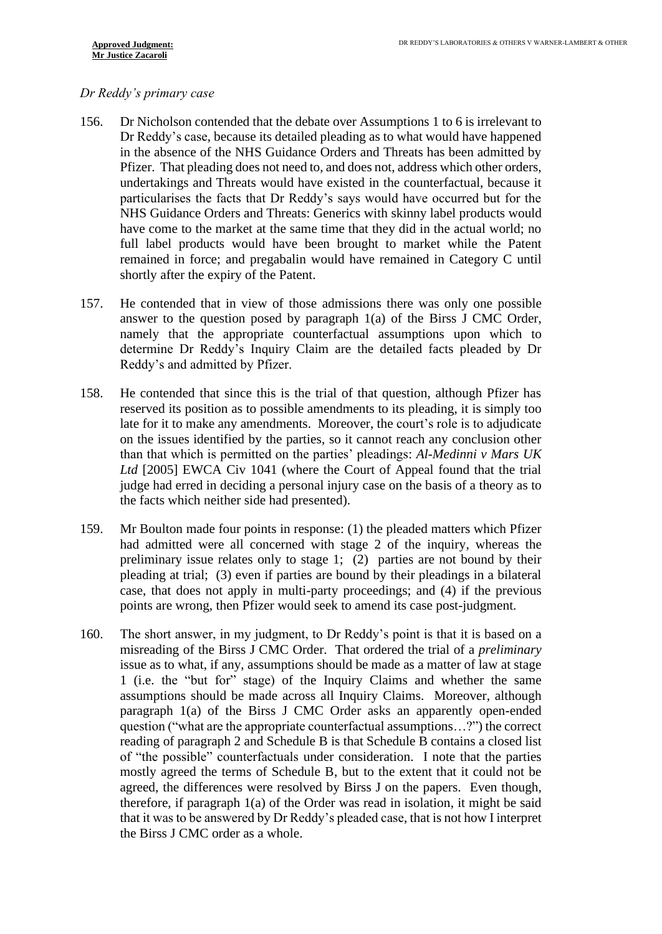## *Dr Reddy's primary case*

- <span id="page-34-0"></span>156. Dr Nicholson contended that the debate over Assumptions 1 to 6 is irrelevant to Dr Reddy's case, because its detailed pleading as to what would have happened in the absence of the NHS Guidance Orders and Threats has been admitted by Pfizer. That pleading does not need to, and does not, address which other orders, undertakings and Threats would have existed in the counterfactual, because it particularises the facts that Dr Reddy's says would have occurred but for the NHS Guidance Orders and Threats: Generics with skinny label products would have come to the market at the same time that they did in the actual world; no full label products would have been brought to market while the Patent remained in force; and pregabalin would have remained in Category C until shortly after the expiry of the Patent.
- 157. He contended that in view of those admissions there was only one possible answer to the question posed by paragraph 1(a) of the Birss J CMC Order, namely that the appropriate counterfactual assumptions upon which to determine Dr Reddy's Inquiry Claim are the detailed facts pleaded by Dr Reddy's and admitted by Pfizer.
- 158. He contended that since this is the trial of that question, although Pfizer has reserved its position as to possible amendments to its pleading, it is simply too late for it to make any amendments. Moreover, the court's role is to adjudicate on the issues identified by the parties, so it cannot reach any conclusion other than that which is permitted on the parties' pleadings: *Al-Medinni v Mars UK Ltd* [2005] EWCA Civ 1041 (where the Court of Appeal found that the trial judge had erred in deciding a personal injury case on the basis of a theory as to the facts which neither side had presented).
- 159. Mr Boulton made four points in response: (1) the pleaded matters which Pfizer had admitted were all concerned with stage 2 of the inquiry, whereas the preliminary issue relates only to stage 1; (2) parties are not bound by their pleading at trial; (3) even if parties are bound by their pleadings in a bilateral case, that does not apply in multi-party proceedings; and (4) if the previous points are wrong, then Pfizer would seek to amend its case post-judgment.
- 160. The short answer, in my judgment, to Dr Reddy's point is that it is based on a misreading of the Birss J CMC Order. That ordered the trial of a *preliminary* issue as to what, if any, assumptions should be made as a matter of law at stage 1 (i.e. the "but for" stage) of the Inquiry Claims and whether the same assumptions should be made across all Inquiry Claims. Moreover, although paragraph 1(a) of the Birss J CMC Order asks an apparently open-ended question ("what are the appropriate counterfactual assumptions…?") the correct reading of paragraph 2 and Schedule B is that Schedule B contains a closed list of "the possible" counterfactuals under consideration. I note that the parties mostly agreed the terms of Schedule B, but to the extent that it could not be agreed, the differences were resolved by Birss J on the papers. Even though, therefore, if paragraph 1(a) of the Order was read in isolation, it might be said that it was to be answered by Dr Reddy's pleaded case, that is not how I interpret the Birss J CMC order as a whole.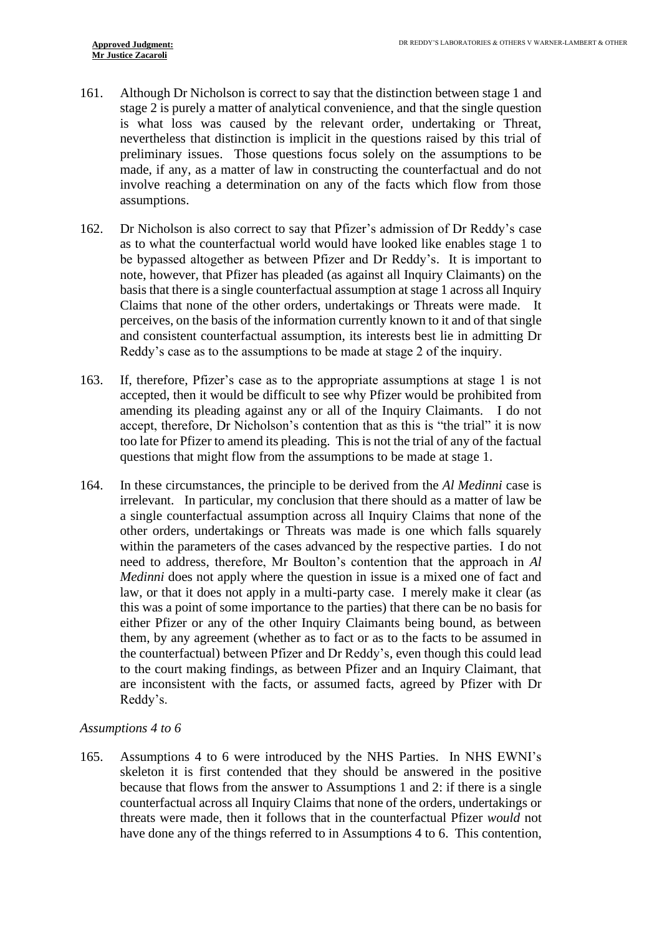- 161. Although Dr Nicholson is correct to say that the distinction between stage 1 and stage 2 is purely a matter of analytical convenience, and that the single question is what loss was caused by the relevant order, undertaking or Threat, nevertheless that distinction is implicit in the questions raised by this trial of preliminary issues. Those questions focus solely on the assumptions to be made, if any, as a matter of law in constructing the counterfactual and do not involve reaching a determination on any of the facts which flow from those assumptions.
- 162. Dr Nicholson is also correct to say that Pfizer's admission of Dr Reddy's case as to what the counterfactual world would have looked like enables stage 1 to be bypassed altogether as between Pfizer and Dr Reddy's. It is important to note, however, that Pfizer has pleaded (as against all Inquiry Claimants) on the basis that there is a single counterfactual assumption at stage 1 across all Inquiry Claims that none of the other orders, undertakings or Threats were made. It perceives, on the basis of the information currently known to it and of that single and consistent counterfactual assumption, its interests best lie in admitting Dr Reddy's case as to the assumptions to be made at stage 2 of the inquiry.
- 163. If, therefore, Pfizer's case as to the appropriate assumptions at stage 1 is not accepted, then it would be difficult to see why Pfizer would be prohibited from amending its pleading against any or all of the Inquiry Claimants. I do not accept, therefore, Dr Nicholson's contention that as this is "the trial" it is now too late for Pfizer to amend its pleading. This is not the trial of any of the factual questions that might flow from the assumptions to be made at stage 1.
- <span id="page-35-0"></span>164. In these circumstances, the principle to be derived from the *Al Medinni* case is irrelevant. In particular, my conclusion that there should as a matter of law be a single counterfactual assumption across all Inquiry Claims that none of the other orders, undertakings or Threats was made is one which falls squarely within the parameters of the cases advanced by the respective parties. I do not need to address, therefore, Mr Boulton's contention that the approach in *Al Medinni* does not apply where the question in issue is a mixed one of fact and law, or that it does not apply in a multi-party case. I merely make it clear (as this was a point of some importance to the parties) that there can be no basis for either Pfizer or any of the other Inquiry Claimants being bound, as between them, by any agreement (whether as to fact or as to the facts to be assumed in the counterfactual) between Pfizer and Dr Reddy's, even though this could lead to the court making findings, as between Pfizer and an Inquiry Claimant, that are inconsistent with the facts, or assumed facts, agreed by Pfizer with Dr Reddy's.

#### *Assumptions 4 to 6*

165. Assumptions 4 to 6 were introduced by the NHS Parties. In NHS EWNI's skeleton it is first contended that they should be answered in the positive because that flows from the answer to Assumptions 1 and 2: if there is a single counterfactual across all Inquiry Claims that none of the orders, undertakings or threats were made, then it follows that in the counterfactual Pfizer *would* not have done any of the things referred to in Assumptions 4 to 6. This contention,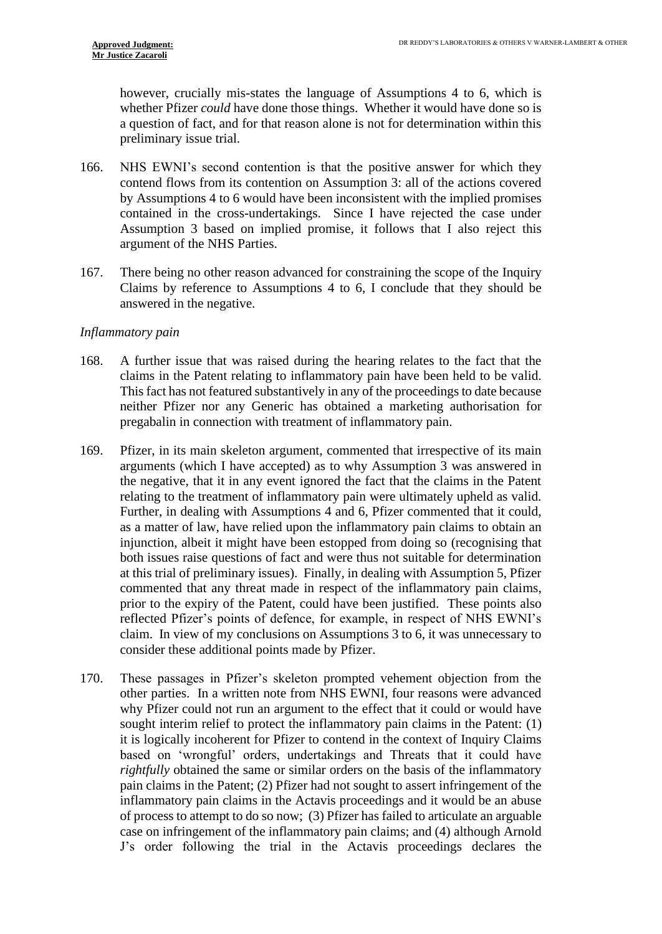however, crucially mis-states the language of Assumptions 4 to 6, which is whether Pfizer *could* have done those things. Whether it would have done so is a question of fact, and for that reason alone is not for determination within this preliminary issue trial.

- 166. NHS EWNI's second contention is that the positive answer for which they contend flows from its contention on Assumption 3: all of the actions covered by Assumptions 4 to 6 would have been inconsistent with the implied promises contained in the cross-undertakings. Since I have rejected the case under Assumption 3 based on implied promise, it follows that I also reject this argument of the NHS Parties.
- 167. There being no other reason advanced for constraining the scope of the Inquiry Claims by reference to Assumptions 4 to 6, I conclude that they should be answered in the negative.

#### *Inflammatory pain*

- 168. A further issue that was raised during the hearing relates to the fact that the claims in the Patent relating to inflammatory pain have been held to be valid. This fact has not featured substantively in any of the proceedings to date because neither Pfizer nor any Generic has obtained a marketing authorisation for pregabalin in connection with treatment of inflammatory pain.
- 169. Pfizer, in its main skeleton argument, commented that irrespective of its main arguments (which I have accepted) as to why Assumption 3 was answered in the negative, that it in any event ignored the fact that the claims in the Patent relating to the treatment of inflammatory pain were ultimately upheld as valid. Further, in dealing with Assumptions 4 and 6, Pfizer commented that it could, as a matter of law, have relied upon the inflammatory pain claims to obtain an injunction, albeit it might have been estopped from doing so (recognising that both issues raise questions of fact and were thus not suitable for determination at this trial of preliminary issues). Finally, in dealing with Assumption 5, Pfizer commented that any threat made in respect of the inflammatory pain claims, prior to the expiry of the Patent, could have been justified. These points also reflected Pfizer's points of defence, for example, in respect of NHS EWNI's claim. In view of my conclusions on Assumptions 3 to 6, it was unnecessary to consider these additional points made by Pfizer.
- 170. These passages in Pfizer's skeleton prompted vehement objection from the other parties. In a written note from NHS EWNI, four reasons were advanced why Pfizer could not run an argument to the effect that it could or would have sought interim relief to protect the inflammatory pain claims in the Patent: (1) it is logically incoherent for Pfizer to contend in the context of Inquiry Claims based on 'wrongful' orders, undertakings and Threats that it could have *rightfully* obtained the same or similar orders on the basis of the inflammatory pain claims in the Patent; (2) Pfizer had not sought to assert infringement of the inflammatory pain claims in the Actavis proceedings and it would be an abuse of process to attempt to do so now; (3) Pfizer has failed to articulate an arguable case on infringement of the inflammatory pain claims; and (4) although Arnold J's order following the trial in the Actavis proceedings declares the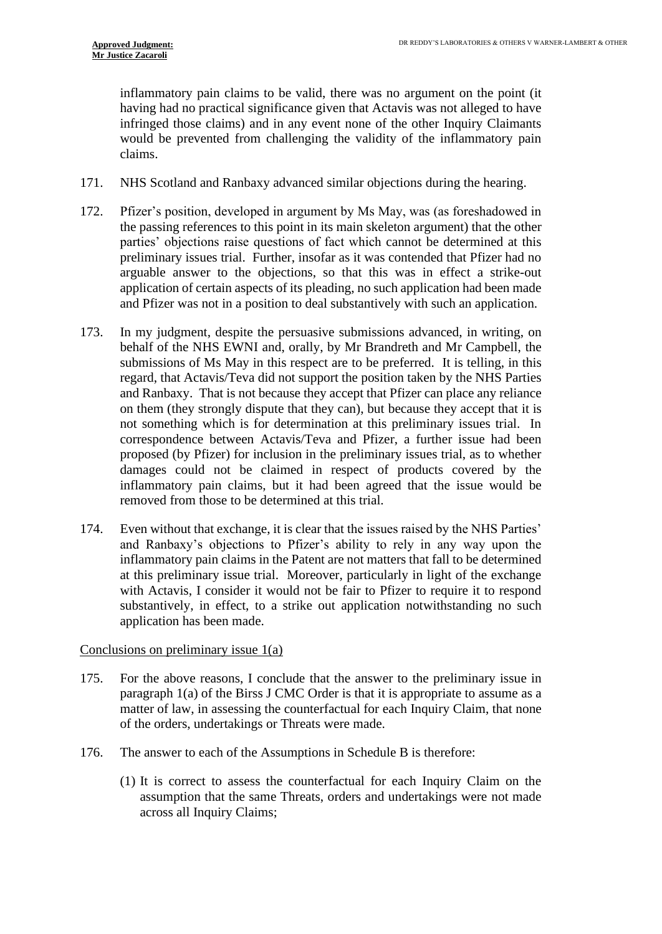inflammatory pain claims to be valid, there was no argument on the point (it having had no practical significance given that Actavis was not alleged to have infringed those claims) and in any event none of the other Inquiry Claimants would be prevented from challenging the validity of the inflammatory pain claims.

- 171. NHS Scotland and Ranbaxy advanced similar objections during the hearing.
- 172. Pfizer's position, developed in argument by Ms May, was (as foreshadowed in the passing references to this point in its main skeleton argument) that the other parties' objections raise questions of fact which cannot be determined at this preliminary issues trial. Further, insofar as it was contended that Pfizer had no arguable answer to the objections, so that this was in effect a strike-out application of certain aspects of its pleading, no such application had been made and Pfizer was not in a position to deal substantively with such an application.
- 173. In my judgment, despite the persuasive submissions advanced, in writing, on behalf of the NHS EWNI and, orally, by Mr Brandreth and Mr Campbell, the submissions of Ms May in this respect are to be preferred. It is telling, in this regard, that Actavis/Teva did not support the position taken by the NHS Parties and Ranbaxy. That is not because they accept that Pfizer can place any reliance on them (they strongly dispute that they can), but because they accept that it is not something which is for determination at this preliminary issues trial. In correspondence between Actavis/Teva and Pfizer, a further issue had been proposed (by Pfizer) for inclusion in the preliminary issues trial, as to whether damages could not be claimed in respect of products covered by the inflammatory pain claims, but it had been agreed that the issue would be removed from those to be determined at this trial.
- 174. Even without that exchange, it is clear that the issues raised by the NHS Parties' and Ranbaxy's objections to Pfizer's ability to rely in any way upon the inflammatory pain claims in the Patent are not matters that fall to be determined at this preliminary issue trial. Moreover, particularly in light of the exchange with Actavis, I consider it would not be fair to Pfizer to require it to respond substantively, in effect, to a strike out application notwithstanding no such application has been made.

#### Conclusions on preliminary issue 1(a)

- 175. For the above reasons, I conclude that the answer to the preliminary issue in paragraph 1(a) of the Birss J CMC Order is that it is appropriate to assume as a matter of law, in assessing the counterfactual for each Inquiry Claim, that none of the orders, undertakings or Threats were made.
- 176. The answer to each of the Assumptions in Schedule B is therefore:
	- (1) It is correct to assess the counterfactual for each Inquiry Claim on the assumption that the same Threats, orders and undertakings were not made across all Inquiry Claims;